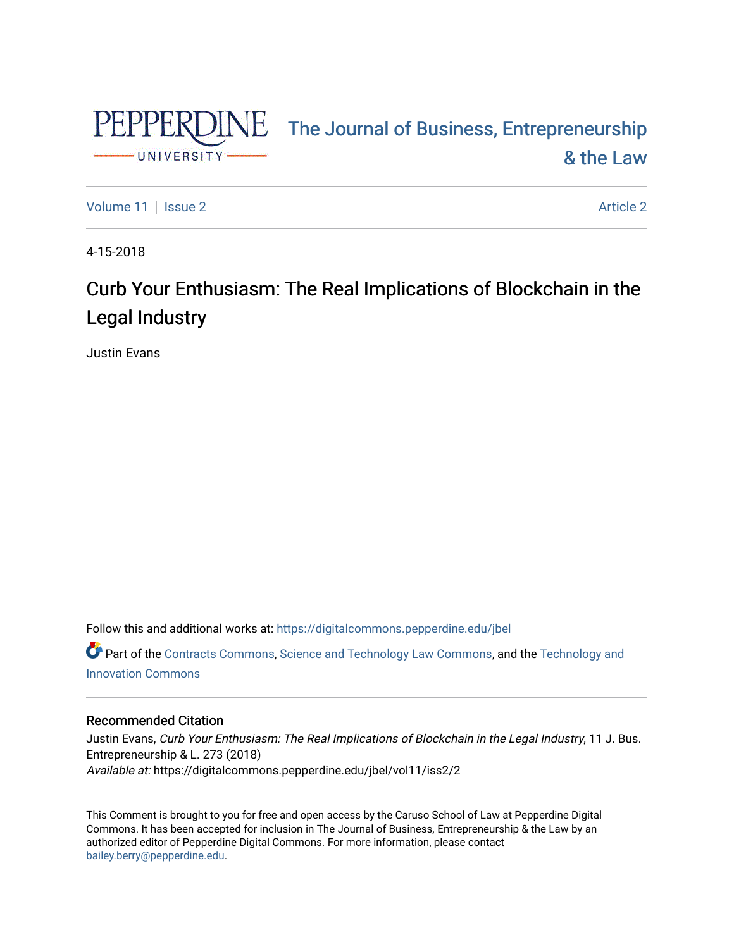

# PEPPERDINE The Journal of Business, Entrepreneurship [& the Law](https://digitalcommons.pepperdine.edu/jbel)

[Volume 11](https://digitalcommons.pepperdine.edu/jbel/vol11) | [Issue 2](https://digitalcommons.pepperdine.edu/jbel/vol11/iss2) Article 2

4-15-2018

# Curb Your Enthusiasm: The Real Implications of Blockchain in the Legal Industry

Justin Evans

Follow this and additional works at: [https://digitalcommons.pepperdine.edu/jbel](https://digitalcommons.pepperdine.edu/jbel?utm_source=digitalcommons.pepperdine.edu%2Fjbel%2Fvol11%2Fiss2%2F2&utm_medium=PDF&utm_campaign=PDFCoverPages) 

Part of the [Contracts Commons](http://network.bepress.com/hgg/discipline/591?utm_source=digitalcommons.pepperdine.edu%2Fjbel%2Fvol11%2Fiss2%2F2&utm_medium=PDF&utm_campaign=PDFCoverPages), [Science and Technology Law Commons,](http://network.bepress.com/hgg/discipline/875?utm_source=digitalcommons.pepperdine.edu%2Fjbel%2Fvol11%2Fiss2%2F2&utm_medium=PDF&utm_campaign=PDFCoverPages) and the [Technology and](http://network.bepress.com/hgg/discipline/644?utm_source=digitalcommons.pepperdine.edu%2Fjbel%2Fvol11%2Fiss2%2F2&utm_medium=PDF&utm_campaign=PDFCoverPages)  [Innovation Commons](http://network.bepress.com/hgg/discipline/644?utm_source=digitalcommons.pepperdine.edu%2Fjbel%2Fvol11%2Fiss2%2F2&utm_medium=PDF&utm_campaign=PDFCoverPages)

# Recommended Citation

Justin Evans, Curb Your Enthusiasm: The Real Implications of Blockchain in the Legal Industry, 11 J. Bus. Entrepreneurship & L. 273 (2018) Available at: https://digitalcommons.pepperdine.edu/jbel/vol11/iss2/2

This Comment is brought to you for free and open access by the Caruso School of Law at Pepperdine Digital Commons. It has been accepted for inclusion in The Journal of Business, Entrepreneurship & the Law by an authorized editor of Pepperdine Digital Commons. For more information, please contact [bailey.berry@pepperdine.edu](mailto:bailey.berry@pepperdine.edu).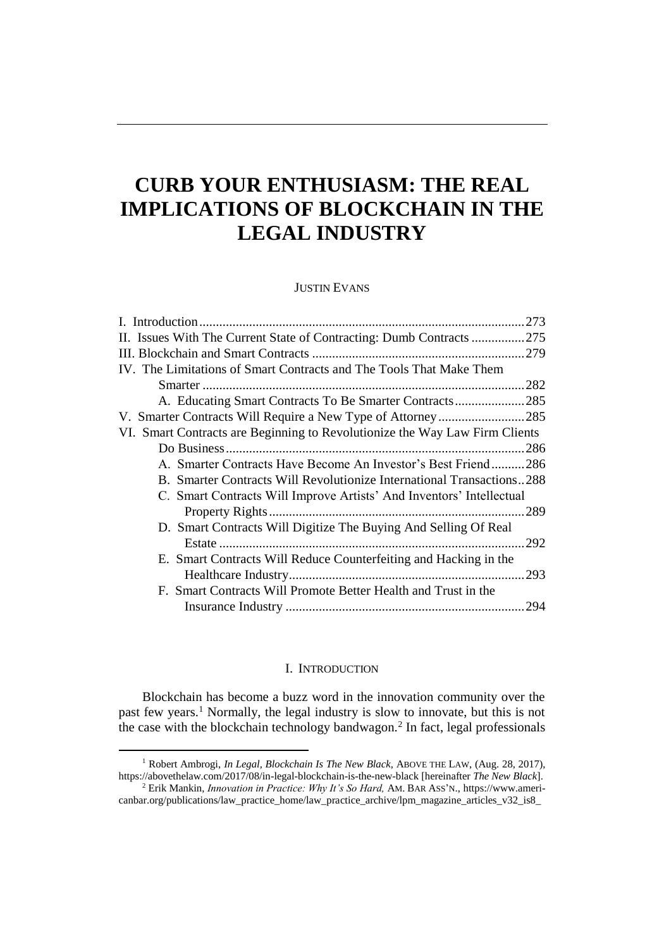# **CURB YOUR ENTHUSIASM: THE REAL IMPLICATIONS OF BLOCKCHAIN IN THE LEGAL INDUSTRY**

JUSTIN EVANS

| II. Issues With The Current State of Contracting: Dumb Contracts 275        |      |
|-----------------------------------------------------------------------------|------|
|                                                                             |      |
| IV. The Limitations of Smart Contracts and The Tools That Make Them         |      |
|                                                                             |      |
| A. Educating Smart Contracts To Be Smarter Contracts285                     |      |
|                                                                             |      |
| VI. Smart Contracts are Beginning to Revolutionize the Way Law Firm Clients |      |
|                                                                             |      |
| A. Smarter Contracts Have Become An Investor's Best Friend286               |      |
| B. Smarter Contracts Will Revolutionize International Transactions288       |      |
| C. Smart Contracts Will Improve Artists' And Inventors' Intellectual        |      |
|                                                                             | .289 |
| D. Smart Contracts Will Digitize The Buying And Selling Of Real             |      |
|                                                                             | .292 |
| E. Smart Contracts Will Reduce Counterfeiting and Hacking in the            |      |
|                                                                             | .293 |
| F. Smart Contracts Will Promote Better Health and Trust in the              |      |
|                                                                             |      |
|                                                                             |      |

#### I. INTRODUCTION

<span id="page-1-0"></span>Blockchain has become a buzz word in the innovation community over the past few years.<sup>1</sup> Normally, the legal industry is slow to innovate, but this is not the case with the blockchain technology bandwagon.<sup>2</sup> In fact, legal professionals

<sup>&</sup>lt;sup>1</sup> Robert Ambrogi, *In Legal, Blockchain Is The New Black*, ABOVE THE LAW, (Aug. 28, 2017), https://abovethelaw.com/2017/08/in-legal-blockchain-is-the-new-black [hereinafter *The New Black*].

<sup>2</sup> Erik Mankin, *Innovation in Practice: Why It's So Hard,* AM. BAR ASS'N., https://www.americanbar.org/publications/law\_practice\_home/law\_practice\_archive/lpm\_magazine\_articles\_v32\_is8\_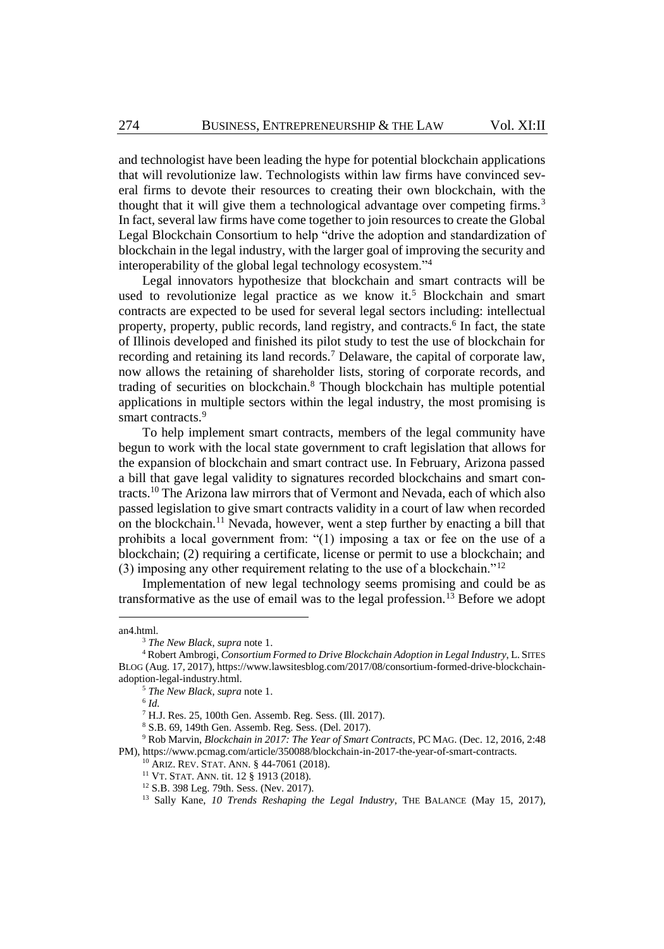and technologist have been leading the hype for potential blockchain applications that will revolutionize law. Technologists within law firms have convinced several firms to devote their resources to creating their own blockchain, with the thought that it will give them a technological advantage over competing firms.<sup>3</sup> In fact, several law firms have come together to join resources to create the Global Legal Blockchain Consortium to help "drive the adoption and standardization of blockchain in the legal industry, with the larger goal of improving the security and interoperability of the global legal technology ecosystem."<sup>4</sup>

Legal innovators hypothesize that blockchain and smart contracts will be used to revolutionize legal practice as we know it.<sup>5</sup> Blockchain and smart contracts are expected to be used for several legal sectors including: intellectual property, property, public records, land registry, and contracts.<sup>6</sup> In fact, the state of Illinois developed and finished its pilot study to test the use of blockchain for recording and retaining its land records.<sup>7</sup> Delaware, the capital of corporate law, now allows the retaining of shareholder lists, storing of corporate records, and trading of securities on blockchain. <sup>8</sup> Though blockchain has multiple potential applications in multiple sectors within the legal industry, the most promising is smart contracts.<sup>9</sup>

<span id="page-2-0"></span>To help implement smart contracts, members of the legal community have begun to work with the local state government to craft legislation that allows for the expansion of blockchain and smart contract use. In February, Arizona passed a bill that gave legal validity to signatures recorded blockchains and smart contracts.<sup>10</sup> The Arizona law mirrors that of Vermont and Nevada, each of which also passed legislation to give smart contracts validity in a court of law when recorded on the blockchain.<sup>11</sup> Nevada, however, went a step further by enacting a bill that prohibits a local government from: "(1) imposing a tax or fee on the use of a blockchain; (2) requiring a certificate, license or permit to use a blockchain; and (3) imposing any other requirement relating to the use of a blockchain."<sup>12</sup>

Implementation of new legal technology seems promising and could be as transformative as the use of email was to the legal profession.<sup>13</sup> Before we adopt

l

an4.html.

<sup>3</sup> *The New Black*, *supra* not[e 1.](#page-1-0)

<sup>4</sup> Robert Ambrogi, *Consortium Formed to Drive Blockchain Adoption in Legal Industry*, L. SITES BLOG (Aug. 17, 2017), https://www.lawsitesblog.com/2017/08/consortium-formed-drive-blockchainadoption-legal-industry.html.

<sup>5</sup> *The New Black*, *supra* not[e 1.](#page-1-0)

<sup>6</sup> *Id.*

<sup>7</sup> H.J. Res. 25, 100th Gen. Assemb. Reg. Sess. (Ill. 2017).

<sup>8</sup> S.B. 69, 149th Gen. Assemb. Reg. Sess. (Del. 2017).

<sup>9</sup> Rob Marvin, *Blockchain in 2017: The Year of Smart Contracts*, PC MAG. (Dec. 12, 2016, 2:48 PM), https://www.pcmag.com/article/350088/blockchain-in-2017-the-year-of-smart-contracts.

<sup>10</sup> ARIZ. REV. STAT. ANN. § 44-7061 (2018).

<sup>11</sup> VT. STAT. ANN. tit. 12 § 1913 (2018).

<sup>12</sup> S.B. 398 Leg. 79th. Sess. (Nev. 2017).

<sup>&</sup>lt;sup>13</sup> Sally Kane, *10 Trends Reshaping the Legal Industry*, THE BALANCE (May 15, 2017),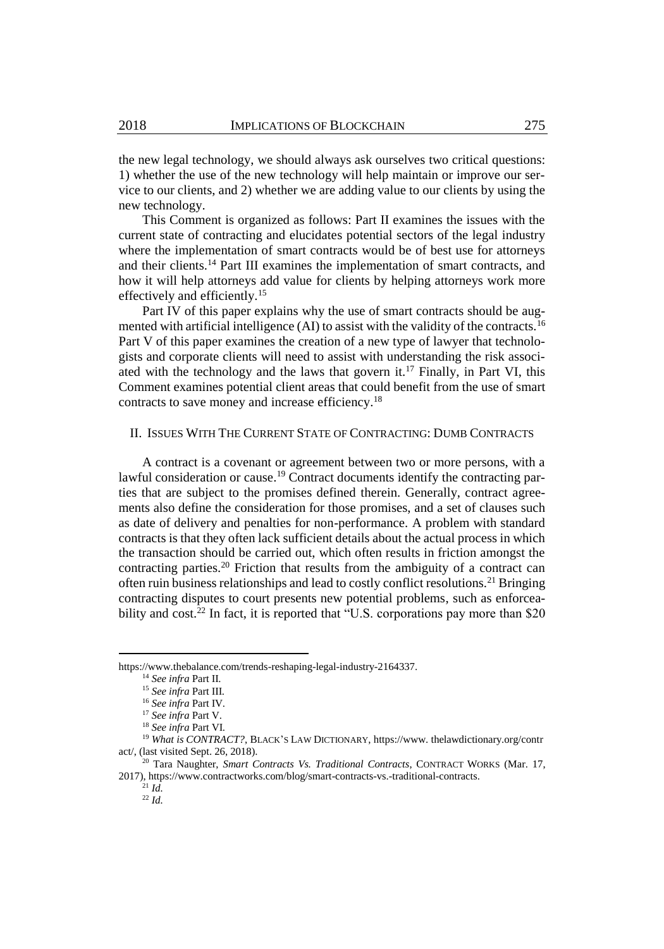the new legal technology, we should always ask ourselves two critical questions: 1) whether the use of the new technology will help maintain or improve our service to our clients, and 2) whether we are adding value to our clients by using the new technology.

This Comment is organized as follows: Part II examines the issues with the current state of contracting and elucidates potential sectors of the legal industry where the implementation of smart contracts would be of best use for attorneys and their clients.<sup>14</sup> Part III examines the implementation of smart contracts, and how it will help attorneys add value for clients by helping attorneys work more effectively and efficiently.<sup>15</sup>

Part IV of this paper explains why the use of smart contracts should be augmented with artificial intelligence (AI) to assist with the validity of the contracts.<sup>16</sup> Part V of this paper examines the creation of a new type of lawyer that technologists and corporate clients will need to assist with understanding the risk associated with the technology and the laws that govern it. <sup>17</sup> Finally, in Part VI, this Comment examines potential client areas that could benefit from the use of smart contracts to save money and increase efficiency.<sup>18</sup>

#### II. ISSUES WITH THE CURRENT STATE OF CONTRACTING: DUMB CONTRACTS

A contract is a covenant or agreement between two or more persons, with a lawful consideration or cause. <sup>19</sup> Contract documents identify the contracting parties that are subject to the promises defined therein. Generally, contract agreements also define the consideration for those promises, and a set of clauses such as date of delivery and penalties for non-performance. A problem with standard contracts is that they often lack sufficient details about the actual process in which the transaction should be carried out, which often results in friction amongst the contracting parties.<sup>20</sup> Friction that results from the ambiguity of a contract can often ruin business relationships and lead to costly conflict resolutions.<sup>21</sup> Bringing contracting disputes to court presents new potential problems, such as enforceability and cost.<sup>22</sup> In fact, it is reported that "U.S. corporations pay more than \$20

https://www.thebalance.com/trends-reshaping-legal-industry-2164337.

<span id="page-3-0"></span><sup>14</sup> *See infra* Part II.

<sup>15</sup> *See infra* Part III.

<sup>16</sup> *See infra* Part IV.

<sup>17</sup> *See infra* Part V.

<sup>18</sup> *See infra* Part VI.

<sup>&</sup>lt;sup>19</sup> What is CONTRACT?, BLACK'S LAW DICTIONARY, https://www.thelawdictionary.org/contr act/, (last visited Sept. 26, 2018).

<sup>20</sup> Tara Naughter, *Smart Contracts Vs. Traditional Contracts*, CONTRACT WORKS (Mar. 17, 2017), https://www.contractworks.com/blog/smart-contracts-vs.-traditional-contracts.

 $^{21}$  *Id.*  $^{22}$  *Id.*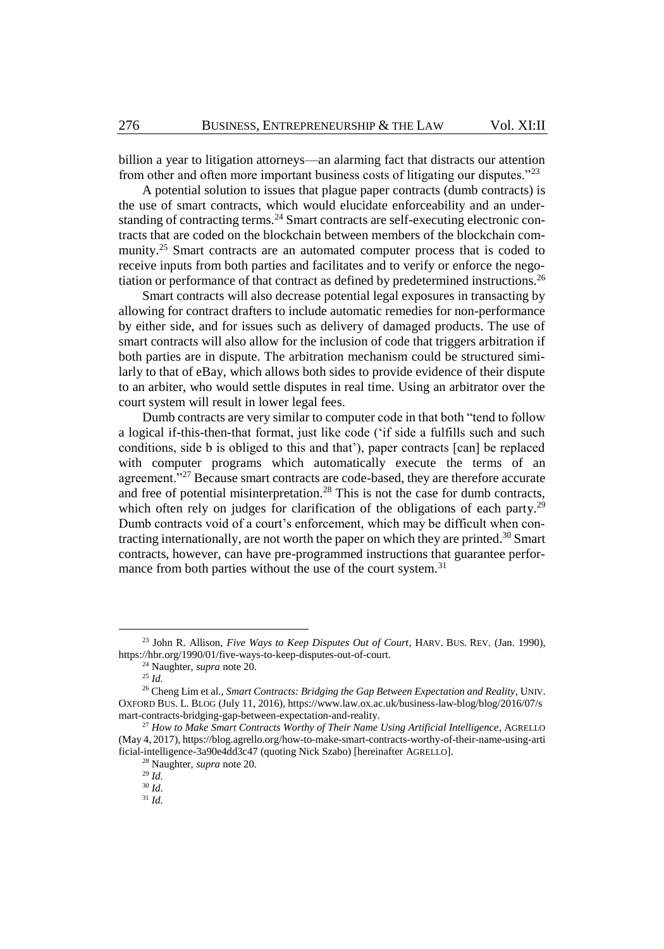<span id="page-4-0"></span>billion a year to litigation attorneys—an alarming fact that distracts our attention from other and often more important business costs of litigating our disputes."<sup>23</sup>

A potential solution to issues that plague paper contracts (dumb contracts) is the use of smart contracts, which would elucidate enforceability and an understanding of contracting terms.<sup>24</sup> Smart contracts are self-executing electronic contracts that are coded on the blockchain between members of the blockchain community.<sup>25</sup> Smart contracts are an automated computer process that is coded to receive inputs from both parties and facilitates and to verify or enforce the negotiation or performance of that contract as defined by predetermined instructions.<sup>26</sup>

Smart contracts will also decrease potential legal exposures in transacting by allowing for contract drafters to include automatic remedies for non-performance by either side, and for issues such as delivery of damaged products. The use of smart contracts will also allow for the inclusion of code that triggers arbitration if both parties are in dispute. The arbitration mechanism could be structured similarly to that of eBay, which allows both sides to provide evidence of their dispute to an arbiter, who would settle disputes in real time. Using an arbitrator over the court system will result in lower legal fees.

Dumb contracts are very similar to computer code in that both "tend to follow a logical if-this-then-that format, just like code ('if side a fulfills such and such conditions, side b is obliged to this and that'), paper contracts [can] be replaced with computer programs which automatically execute the terms of an agreement."<sup>27</sup> Because smart contracts are code-based, they are therefore accurate and free of potential misinterpretation.<sup>28</sup> This is not the case for dumb contracts, which often rely on judges for clarification of the obligations of each party.<sup>29</sup> Dumb contracts void of a court's enforcement, which may be difficult when contracting internationally, are not worth the paper on which they are printed.<sup>30</sup> Smart contracts, however, can have pre-programmed instructions that guarantee performance from both parties without the use of the court system.<sup>31</sup>

<sup>23</sup> John R. Allison, *Five Ways to Keep Disputes Out of Court*, HARV. BUS. REV. (Jan. 1990), https://hbr.org/1990/01/five-ways-to-keep-disputes-out-of-court.

<sup>24</sup> Naughter, *supra* not[e 20.](#page-3-0)

<sup>25</sup> *Id.*

<sup>26</sup> Cheng Lim et al., *Smart Contracts: Bridging the Gap Between Expectation and Reality*, UNIV. OXFORD BUS. L. BLOG (July 11, 2016), https://www.law.ox.ac.uk/business-law-blog/blog/2016/07/s mart-contracts-bridging-gap-between-expectation-and-reality.

<sup>27</sup> *How to Make Smart Contracts Worthy of Their Name Using Artificial Intelligence*, AGRELLO (May 4, 2017), https://blog.agrello.org/how-to-make-smart-contracts-worthy-of-their-name-using-arti ficial-intelligence-3a90e4dd3c47 (quoting Nick Szabo) [hereinafter AGRELLO].

<sup>28</sup> Naughter, *supra* not[e 20.](#page-3-0)

<sup>29</sup> *Id.*

<sup>30</sup> *Id.*

<sup>31</sup> *Id.*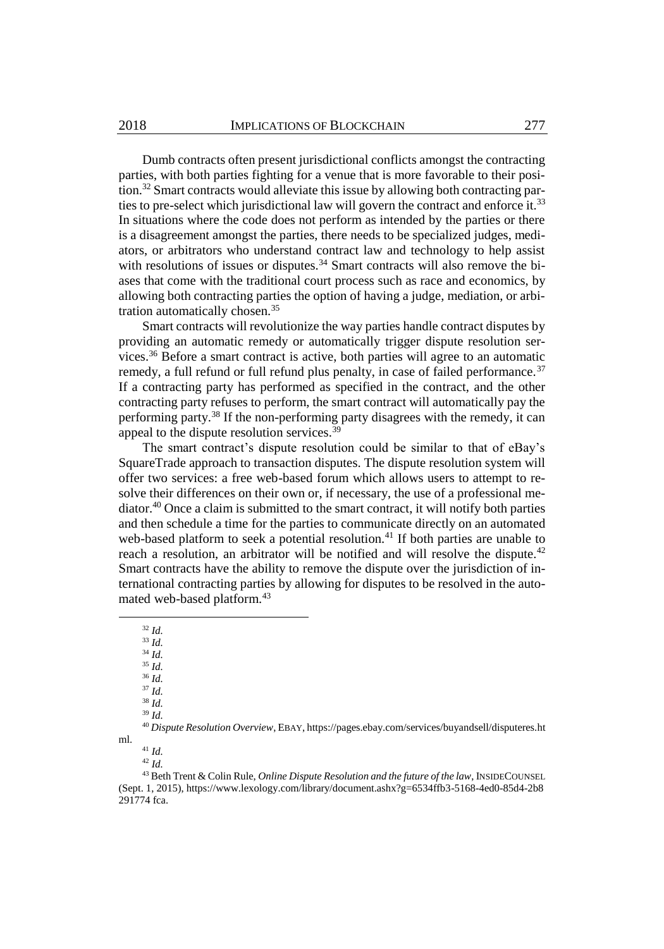Dumb contracts often present jurisdictional conflicts amongst the contracting parties, with both parties fighting for a venue that is more favorable to their position.<sup>32</sup> Smart contracts would alleviate this issue by allowing both contracting parties to pre-select which jurisdictional law will govern the contract and enforce it.<sup>33</sup> In situations where the code does not perform as intended by the parties or there is a disagreement amongst the parties, there needs to be specialized judges, mediators, or arbitrators who understand contract law and technology to help assist with resolutions of issues or disputes. $34$  Smart contracts will also remove the biases that come with the traditional court process such as race and economics, by allowing both contracting parties the option of having a judge, mediation, or arbitration automatically chosen.<sup>35</sup>

Smart contracts will revolutionize the way parties handle contract disputes by providing an automatic remedy or automatically trigger dispute resolution services.<sup>36</sup> Before a smart contract is active, both parties will agree to an automatic remedy, a full refund or full refund plus penalty, in case of failed performance.<sup>37</sup> If a contracting party has performed as specified in the contract, and the other contracting party refuses to perform, the smart contract will automatically pay the performing party.<sup>38</sup> If the non-performing party disagrees with the remedy, it can appeal to the dispute resolution services.<sup>39</sup>

The smart contract's dispute resolution could be similar to that of eBay's SquareTrade approach to transaction disputes. The dispute resolution system will offer two services: a free web-based forum which allows users to attempt to resolve their differences on their own or, if necessary, the use of a professional mediator.<sup>40</sup> Once a claim is submitted to the smart contract, it will notify both parties and then schedule a time for the parties to communicate directly on an automated web-based platform to seek a potential resolution.<sup>41</sup> If both parties are unable to reach a resolution, an arbitrator will be notified and will resolve the dispute.<sup>42</sup> Smart contracts have the ability to remove the dispute over the jurisdiction of international contracting parties by allowing for disputes to be resolved in the automated web-based platform.<sup>43</sup>

<sup>32</sup> *Id.*

 $33 \overline{Id}$ .

<sup>34</sup> *Id.*

l

ml.

<sup>35</sup> *Id.* <sup>36</sup> *Id.*

<sup>37</sup> *Id.*

<sup>38</sup> *Id.*

<sup>39</sup> *Id.*

<sup>40</sup> *Dispute Resolution Overview*, EBAY, https://pages.ebay.com/services/buyandsell/disputeres.ht

<sup>41</sup> *Id.*

<sup>42</sup> *Id.*

<sup>43</sup> Beth Trent & Colin Rule, *Online Dispute Resolution and the future of the law*, INSIDECOUNSEL (Sept. 1, 2015), https://www.lexology.com/library/document.ashx?g=6534ffb3-5168-4ed0-85d4-2b8 291774 fca.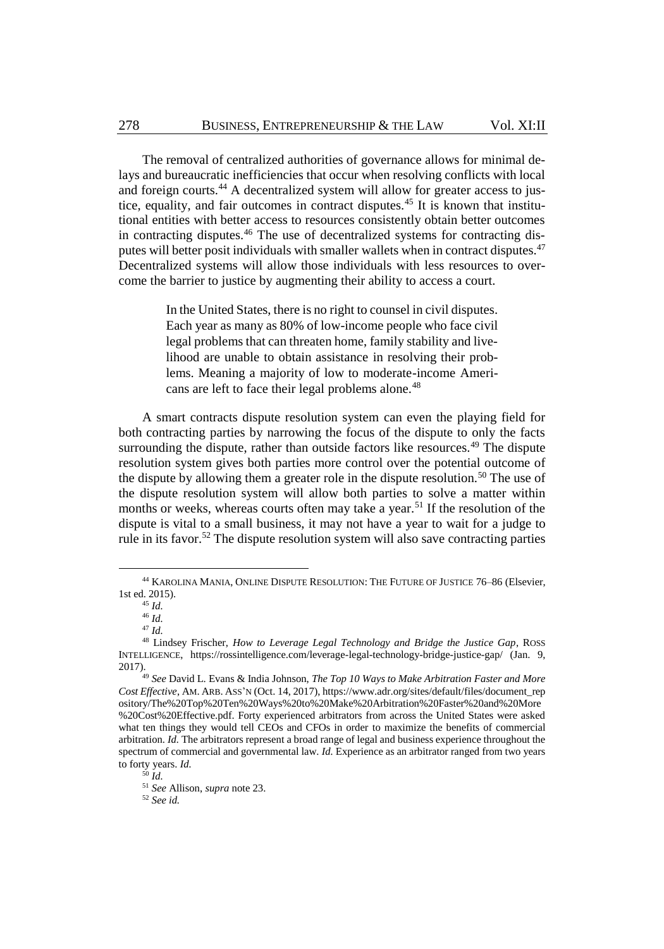The removal of centralized authorities of governance allows for minimal delays and bureaucratic inefficiencies that occur when resolving conflicts with local and foreign courts.<sup>44</sup> A decentralized system will allow for greater access to justice, equality, and fair outcomes in contract disputes.<sup>45</sup> It is known that institutional entities with better access to resources consistently obtain better outcomes in contracting disputes.<sup>46</sup> The use of decentralized systems for contracting disputes will better posit individuals with smaller wallets when in contract disputes.<sup>47</sup> Decentralized systems will allow those individuals with less resources to overcome the barrier to justice by augmenting their ability to access a court.

> <span id="page-6-0"></span>In the United States, there is no right to counsel in civil disputes. Each year as many as 80% of low-income people who face civil legal problems that can threaten home, family stability and livelihood are unable to obtain assistance in resolving their problems. Meaning a majority of low to moderate-income Americans are left to face their legal problems alone.<sup>48</sup>

A smart contracts dispute resolution system can even the playing field for both contracting parties by narrowing the focus of the dispute to only the facts surrounding the dispute, rather than outside factors like resources.<sup>49</sup> The dispute resolution system gives both parties more control over the potential outcome of the dispute by allowing them a greater role in the dispute resolution.<sup>50</sup> The use of the dispute resolution system will allow both parties to solve a matter within months or weeks, whereas courts often may take a year.<sup>51</sup> If the resolution of the dispute is vital to a small business, it may not have a year to wait for a judge to rule in its favor.<sup>52</sup> The dispute resolution system will also save contracting parties

<sup>44</sup> KAROLINA MANIA, ONLINE DISPUTE RESOLUTION: THE FUTURE OF JUSTICE 76–86 (Elsevier, 1st ed. 2015).

<sup>45</sup> *Id.*

<sup>46</sup> *Id.*

<sup>47</sup> *Id.*

<sup>48</sup> Lindsey Frischer, *How to Leverage Legal Technology and Bridge the Justice Gap*, ROSS INTELLIGENCE, https://rossintelligence.com/leverage-legal-technology-bridge-justice-gap/ (Jan. 9, 2017).

<sup>49</sup> *See* David L. Evans & India Johnson, *The Top 10 Ways to Make Arbitration Faster and More Cost Effective*, AM. ARB. ASS'N (Oct. 14, 2017), https://www.adr.org/sites/default/files/document\_rep ository/The%20Top%20Ten%20Ways%20to%20Make%20Arbitration%20Faster%20and%20More %20Cost%20Effective.pdf. Forty experienced arbitrators from across the United States were asked what ten things they would tell CEOs and CFOs in order to maximize the benefits of commercial arbitration. *Id.* The arbitrators represent a broad range of legal and business experience throughout the spectrum of commercial and governmental law. *Id.* Experience as an arbitrator ranged from two years to forty years. *Id.*

<sup>50</sup> *Id.*

<sup>51</sup> *See* Allison, *supra* not[e 23.](#page-4-0)

<sup>52</sup> *See id.*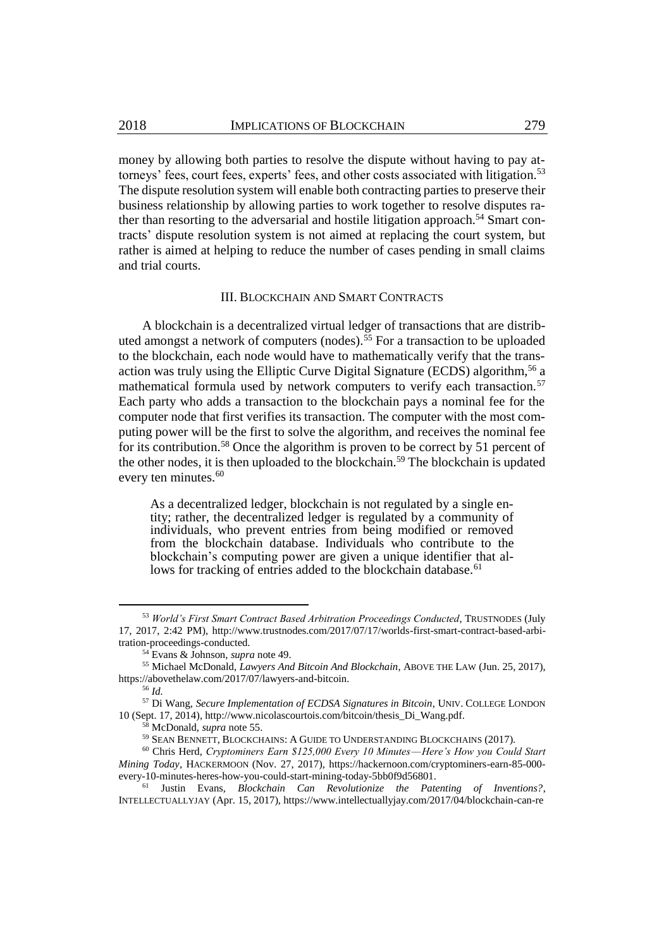money by allowing both parties to resolve the dispute without having to pay attorneys' fees, court fees, experts' fees, and other costs associated with litigation.<sup>53</sup> The dispute resolution system will enable both contracting parties to preserve their business relationship by allowing parties to work together to resolve disputes rather than resorting to the adversarial and hostile litigation approach.<sup>54</sup> Smart contracts' dispute resolution system is not aimed at replacing the court system, but rather is aimed at helping to reduce the number of cases pending in small claims and trial courts.

#### <span id="page-7-0"></span>III. BLOCKCHAIN AND SMART CONTRACTS

A blockchain is a decentralized virtual ledger of transactions that are distributed amongst a network of computers (nodes).<sup>55</sup> For a transaction to be uploaded to the blockchain, each node would have to mathematically verify that the transaction was truly using the Elliptic Curve Digital Signature (ECDS) algorithm, <sup>56</sup> a mathematical formula used by network computers to verify each transaction.<sup>57</sup> Each party who adds a transaction to the blockchain pays a nominal fee for the computer node that first verifies its transaction. The computer with the most computing power will be the first to solve the algorithm, and receives the nominal fee for its contribution.<sup>58</sup> Once the algorithm is proven to be correct by 51 percent of the other nodes, it is then uploaded to the blockchain.<sup>59</sup> The blockchain is updated every ten minutes.<sup>60</sup>

As a decentralized ledger, blockchain is not regulated by a single entity; rather, the decentralized ledger is regulated by a community of individuals, who prevent entries from being modified or removed from the blockchain database. Individuals who contribute to the blockchain's computing power are given a unique identifier that allows for tracking of entries added to the blockchain database.<sup>61</sup>

<sup>53</sup> *World's First Smart Contract Based Arbitration Proceedings Conducted*, TRUSTNODES (July 17, 2017, 2:42 PM), http://www.trustnodes.com/2017/07/17/worlds-first-smart-contract-based-arbitration-proceedings-conducted.

<sup>54</sup> Evans & Johnson, *supra* not[e 49.](#page-6-0)

<sup>55</sup> Michael McDonald, *Lawyers And Bitcoin And Blockchain*, ABOVE THE LAW (Jun. 25, 2017), https://abovethelaw.com/2017/07/lawyers-and-bitcoin.

<sup>56</sup> *Id.* 

<sup>57</sup> Di Wang, *Secure Implementation of ECDSA Signatures in Bitcoin*, UNIV. COLLEGE LONDON 10 (Sept. 17, 2014), http://www.nicolascourtois.com/bitcoin/thesis\_Di\_Wang.pdf.

<sup>58</sup> McDonald, *supra* not[e 55.](#page-7-0)

<sup>59</sup> SEAN BENNETT, BLOCKCHAINS: A GUIDE TO UNDERSTANDING BLOCKCHAINS (2017).

<sup>60</sup> Chris Herd, *Cryptominers Earn \$125,000 Every 10 Minutes — Here's How you Could Start Mining Today*, HACKERMOON (Nov. 27, 2017), https://hackernoon.com/cryptominers-earn-85-000 every-10-minutes-heres-how-you-could-start-mining-today-5bb0f9d56801.

<sup>61</sup> Justin Evans, *Blockchain Can Revolutionize the Patenting of Inventions?*, INTELLECTUALLYJAY (Apr. 15, 2017), https://www.intellectuallyjay.com/2017/04/blockchain-can-re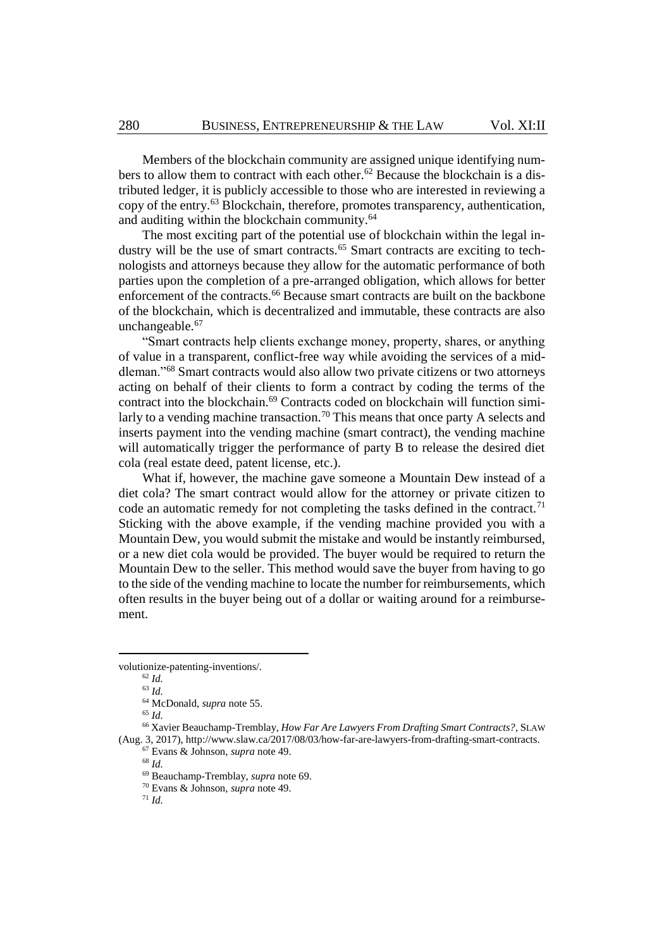Members of the blockchain community are assigned unique identifying numbers to allow them to contract with each other.<sup>62</sup> Because the blockchain is a distributed ledger, it is publicly accessible to those who are interested in reviewing a copy of the entry.<sup>63</sup> Blockchain, therefore, promotes transparency, authentication, and auditing within the blockchain community. 64

The most exciting part of the potential use of blockchain within the legal industry will be the use of smart contracts.<sup>65</sup> Smart contracts are exciting to technologists and attorneys because they allow for the automatic performance of both parties upon the completion of a pre-arranged obligation, which allows for better enforcement of the contracts.<sup>66</sup> Because smart contracts are built on the backbone of the blockchain, which is decentralized and immutable, these contracts are also unchangeable.<sup>67</sup>

<span id="page-8-0"></span>"Smart contracts help clients exchange money, property, shares, or anything of value in a transparent, conflict-free way while avoiding the services of a middleman."<sup>68</sup> Smart contracts would also allow two private citizens or two attorneys acting on behalf of their clients to form a contract by coding the terms of the contract into the blockchain.<sup>69</sup> Contracts coded on blockchain will function similarly to a vending machine transaction.<sup>70</sup> This means that once party A selects and inserts payment into the vending machine (smart contract), the vending machine will automatically trigger the performance of party B to release the desired diet cola (real estate deed, patent license, etc.).

What if, however, the machine gave someone a Mountain Dew instead of a diet cola? The smart contract would allow for the attorney or private citizen to code an automatic remedy for not completing the tasks defined in the contract.<sup>71</sup> Sticking with the above example, if the vending machine provided you with a Mountain Dew, you would submit the mistake and would be instantly reimbursed, or a new diet cola would be provided. The buyer would be required to return the Mountain Dew to the seller. This method would save the buyer from having to go to the side of the vending machine to locate the number for reimbursements, which often results in the buyer being out of a dollar or waiting around for a reimbursement.

 $\overline{\phantom{a}}$ 

<sup>65</sup> *Id.*

volutionize-patenting-inventions/.

<sup>62</sup> *Id.*

<sup>63</sup> *Id.* 

<sup>64</sup> McDonald, *supra* not[e 55.](#page-7-0)

<sup>66</sup> Xavier Beauchamp-Tremblay, *How Far Are Lawyers From Drafting Smart Contracts?*, SLAW (Aug. 3, 2017), http://www.slaw.ca/2017/08/03/how-far-are-lawyers-from-drafting-smart-contracts.

<sup>67</sup> Evans & Johnson, *supra* not[e 49.](#page-6-0)

<sup>68</sup> *Id.*

<sup>69</sup> Beauchamp-Tremblay, *supra* not[e 69.](#page-8-0)

<sup>70</sup> Evans & Johnson, *supra* not[e 49.](#page-6-0)

<sup>71</sup> *Id.*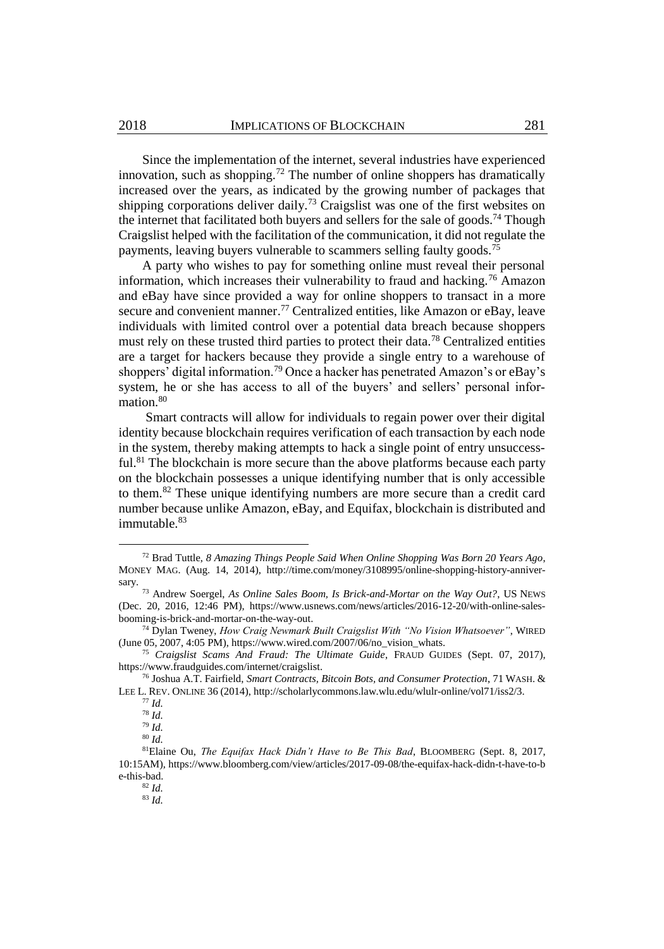Since the implementation of the internet, several industries have experienced innovation, such as shopping.<sup>72</sup> The number of online shoppers has dramatically increased over the years, as indicated by the growing number of packages that shipping corporations deliver daily.<sup>73</sup> Craigslist was one of the first websites on the internet that facilitated both buyers and sellers for the sale of goods.<sup>74</sup> Though Craigslist helped with the facilitation of the communication, it did not regulate the payments, leaving buyers vulnerable to scammers selling faulty goods.<sup>75</sup>

A party who wishes to pay for something online must reveal their personal information, which increases their vulnerability to fraud and hacking.<sup>76</sup> Amazon and eBay have since provided a way for online shoppers to transact in a more secure and convenient manner.<sup>77</sup> Centralized entities, like Amazon or eBay, leave individuals with limited control over a potential data breach because shoppers must rely on these trusted third parties to protect their data.<sup>78</sup> Centralized entities are a target for hackers because they provide a single entry to a warehouse of shoppers' digital information.<sup>79</sup> Once a hacker has penetrated Amazon's or eBay's system, he or she has access to all of the buyers' and sellers' personal information.<sup>80</sup>

Smart contracts will allow for individuals to regain power over their digital identity because blockchain requires verification of each transaction by each node in the system, thereby making attempts to hack a single point of entry unsuccessful.<sup>81</sup> The blockchain is more secure than the above platforms because each party on the blockchain possesses a unique identifying number that is only accessible to them.<sup>82</sup> These unique identifying numbers are more secure than a credit card number because unlike Amazon, eBay, and Equifax, blockchain is distributed and immutable.<sup>83</sup>

<sup>72</sup> Brad Tuttle, *8 Amazing Things People Said When Online Shopping Was Born 20 Years Ago*, MONEY MAG. (Aug. 14, 2014), http://time.com/money/3108995/online-shopping-history-anniversary.

<sup>73</sup> Andrew Soergel, *As Online Sales Boom, Is Brick-and-Mortar on the Way Out?*, US NEWS (Dec. 20, 2016, 12:46 PM), https://www.usnews.com/news/articles/2016-12-20/with-online-salesbooming-is-brick-and-mortar-on-the-way-out.

<sup>74</sup> Dylan Tweney, *How Craig Newmark Built Craigslist With "No Vision Whatsoever"*, WIRED (June 05, 2007, 4:05 PM), https://www.wired.com/2007/06/no\_vision\_whats.

<sup>75</sup> *Craigslist Scams And Fraud: The Ultimate Guide*, FRAUD GUIDES (Sept. 07, 2017), https://www.fraudguides.com/internet/craigslist.

<sup>76</sup> Joshua A.T. Fairfield, *Smart Contracts, Bitcoin Bots, and Consumer Protection*, 71 WASH. & LEE L. REV. ONLINE 36 (2014), http://scholarlycommons.law.wlu.edu/wlulr-online/vol71/iss2/3.

<sup>77</sup> *Id.* <sup>78</sup> *Id.*

<sup>79</sup> *Id.*

<sup>80</sup> *Id.*

<sup>81</sup>Elaine Ou, *The Equifax Hack Didn't Have to Be This Bad*, BLOOMBERG (Sept. 8, 2017, 10:15AM), https://www.bloomberg.com/view/articles/2017-09-08/the-equifax-hack-didn-t-have-to-b e-this-bad.

<sup>82</sup> *Id.*

<sup>83</sup> *Id.*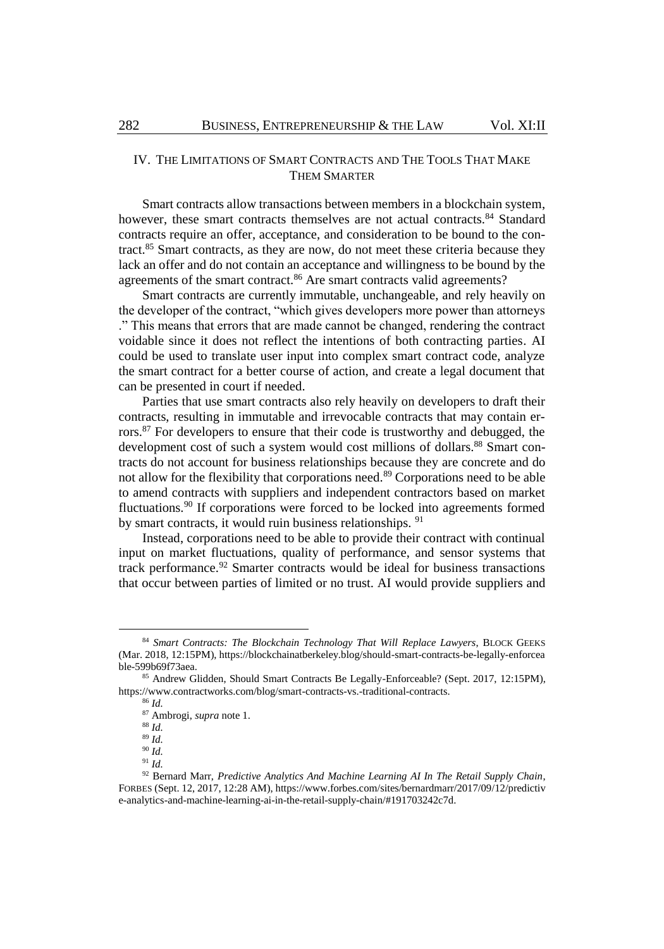# IV. THE LIMITATIONS OF SMART CONTRACTS AND THE TOOLS THAT MAKE THEM SMARTER

Smart contracts allow transactions between members in a blockchain system, however, these smart contracts themselves are not actual contracts.<sup>84</sup> Standard contracts require an offer, acceptance, and consideration to be bound to the contract.<sup>85</sup> Smart contracts, as they are now, do not meet these criteria because they lack an offer and do not contain an acceptance and willingness to be bound by the agreements of the smart contract.<sup>86</sup> Are smart contracts valid agreements?

Smart contracts are currently immutable, unchangeable, and rely heavily on the developer of the contract, "which gives developers more power than attorneys ." This means that errors that are made cannot be changed, rendering the contract voidable since it does not reflect the intentions of both contracting parties. AI could be used to translate user input into complex smart contract code, analyze the smart contract for a better course of action, and create a legal document that can be presented in court if needed.

Parties that use smart contracts also rely heavily on developers to draft their contracts, resulting in immutable and irrevocable contracts that may contain errors.<sup>87</sup> For developers to ensure that their code is trustworthy and debugged, the development cost of such a system would cost millions of dollars. <sup>88</sup> Smart contracts do not account for business relationships because they are concrete and do not allow for the flexibility that corporations need.<sup>89</sup> Corporations need to be able to amend contracts with suppliers and independent contractors based on market fluctuations.<sup>90</sup> If corporations were forced to be locked into agreements formed by smart contracts, it would ruin business relationships. <sup>91</sup>

Instead, corporations need to be able to provide their contract with continual input on market fluctuations, quality of performance, and sensor systems that track performance.<sup>92</sup> Smarter contracts would be ideal for business transactions that occur between parties of limited or no trust. AI would provide suppliers and

<sup>84</sup> *Smart Contracts: The Blockchain Technology That Will Replace Lawyers*, BLOCK GEEKS (Mar. 2018, 12:15PM), https://blockchainatberkeley.blog/should-smart-contracts-be-legally-enforcea ble-599b69f73aea.

<sup>85</sup> Andrew Glidden, Should Smart Contracts Be Legally-Enforceable? (Sept. 2017, 12:15PM), https://www.contractworks.com/blog/smart-contracts-vs.-traditional-contracts.

<sup>86</sup> *Id.*

<sup>87</sup> Ambrogi, *supra* not[e 1.](#page-1-0)

<sup>88</sup> *Id.*

<sup>89</sup> *Id.*

<sup>90</sup> *Id.* <sup>91</sup> *Id.*

<sup>92</sup> Bernard Marr, *Predictive Analytics And Machine Learning AI In The Retail Supply Chain*, FORBES (Sept. 12, 2017, 12:28 AM), https://www.forbes.com/sites/bernardmarr/2017/09/12/predictiv e-analytics-and-machine-learning-ai-in-the-retail-supply-chain/#191703242c7d.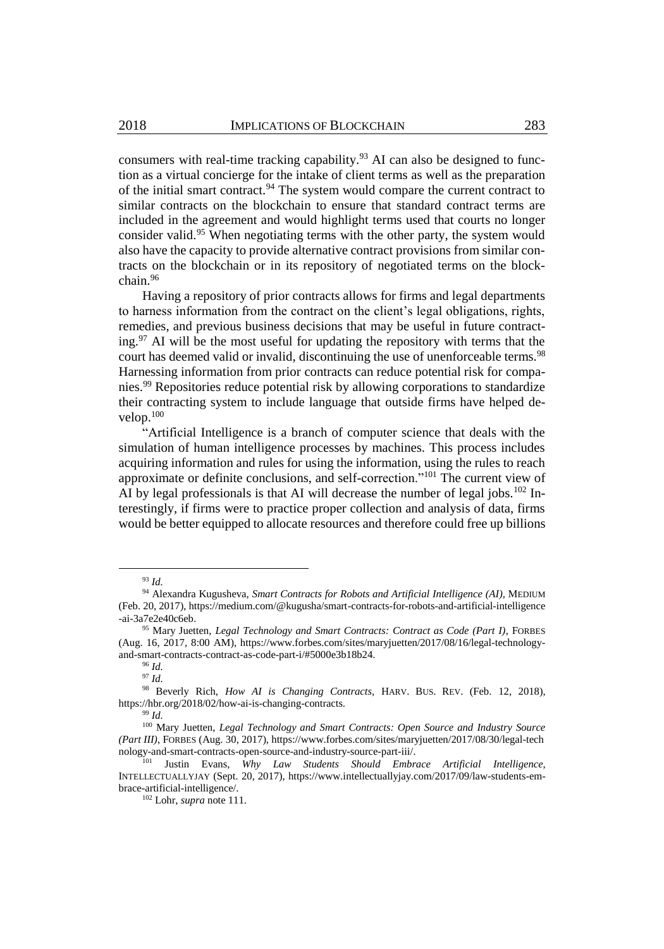consumers with real-time tracking capability.<sup>93</sup> AI can also be designed to function as a virtual concierge for the intake of client terms as well as the preparation of the initial smart contract.<sup>94</sup> The system would compare the current contract to similar contracts on the blockchain to ensure that standard contract terms are included in the agreement and would highlight terms used that courts no longer consider valid.<sup>95</sup> When negotiating terms with the other party, the system would also have the capacity to provide alternative contract provisions from similar contracts on the blockchain or in its repository of negotiated terms on the blockchain.<sup>96</sup>

Having a repository of prior contracts allows for firms and legal departments to harness information from the contract on the client's legal obligations, rights, remedies, and previous business decisions that may be useful in future contracting. $97$  AI will be the most useful for updating the repository with terms that the court has deemed valid or invalid, discontinuing the use of unenforceable terms.<sup>98</sup> Harnessing information from prior contracts can reduce potential risk for companies. <sup>99</sup> Repositories reduce potential risk by allowing corporations to standardize their contracting system to include language that outside firms have helped develop.<sup>100</sup>

"Artificial Intelligence is a branch of computer science that deals with the simulation of human intelligence processes by machines. This process includes acquiring information and rules for using the information, using the rules to reach approximate or definite conclusions, and self-correction."<sup>101</sup> The current view of AI by legal professionals is that AI will decrease the number of legal jobs.<sup>102</sup> Interestingly, if firms were to practice proper collection and analysis of data, firms would be better equipped to allocate resources and therefore could free up billions

<sup>93</sup> *Id.*

<sup>94</sup> Alexandra Kugusheva, *Smart Contracts for Robots and Artificial Intelligence (AI)*, MEDIUM (Feb. 20, 2017), https://medium.com/@kugusha/smart-contracts-for-robots-and-artificial-intelligence -ai-3a7e2e40c6eb.

<sup>95</sup> Mary Juetten, *Legal Technology and Smart Contracts: Contract as Code (Part I)*, FORBES (Aug. 16, 2017, 8:00 AM), https://www.forbes.com/sites/maryjuetten/2017/08/16/legal-technologyand-smart-contracts-contract-as-code-part-i/#5000e3b18b24.

<sup>96</sup> *Id.* <sup>97</sup> *Id.*

<sup>98</sup> Beverly Rich, *How AI is Changing Contracts*, HARV. BUS. REV. (Feb. 12, 2018), https://hbr.org/2018/02/how-ai-is-changing-contracts.

<sup>99</sup> *Id.*

<sup>100</sup> Mary Juetten, *Legal Technology and Smart Contracts: Open Source and Industry Source (Part III)*, FORBES (Aug. 30, 2017), https://www.forbes.com/sites/maryjuetten/2017/08/30/legal-tech nology-and-smart-contracts-open-source-and-industry-source-part-iii/.

<sup>101</sup> Justin Evans, *Why Law Students Should Embrace Artificial Intelligence*, INTELLECTUALLYJAY (Sept. 20, 2017), https://www.intellectuallyjay.com/2017/09/law-students-embrace-artificial-intelligence/.

<sup>102</sup> Lohr, *supra* not[e 111.](#page-12-0)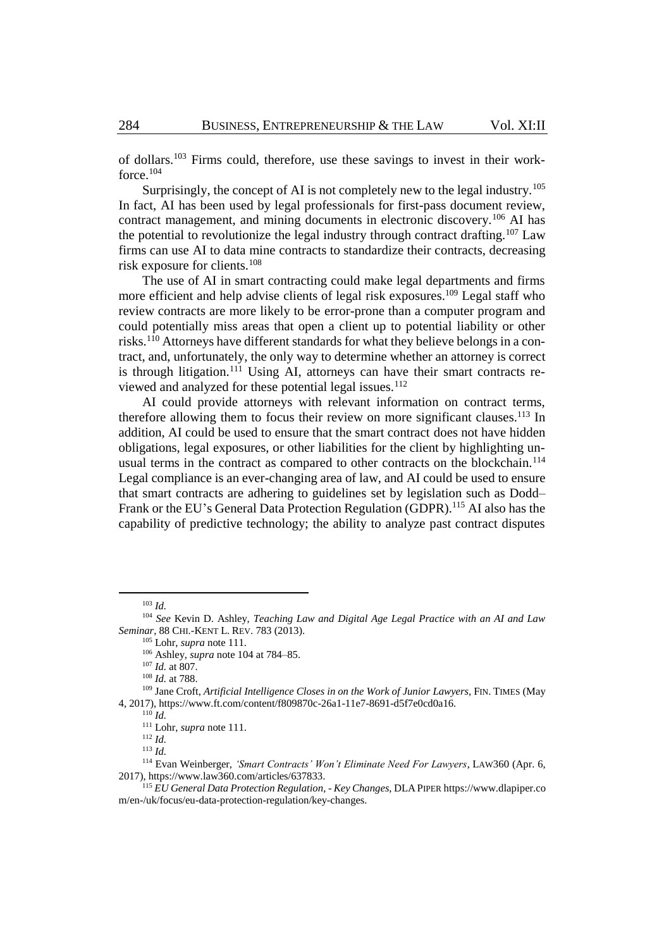<span id="page-12-1"></span>of dollars.<sup>103</sup> Firms could, therefore, use these savings to invest in their workforce.<sup>104</sup>

Surprisingly, the concept of AI is not completely new to the legal industry.<sup>105</sup> In fact, AI has been used by legal professionals for first-pass document review, contract management, and mining documents in electronic discovery.<sup>106</sup> AI has the potential to revolutionize the legal industry through contract drafting.<sup>107</sup> Law firms can use AI to data mine contracts to standardize their contracts, decreasing risk exposure for clients.<sup>108</sup>

<span id="page-12-3"></span>The use of AI in smart contracting could make legal departments and firms more efficient and help advise clients of legal risk exposures.<sup>109</sup> Legal staff who review contracts are more likely to be error-prone than a computer program and could potentially miss areas that open a client up to potential liability or other risks.<sup>110</sup> Attorneys have different standards for what they believe belongs in a contract, and, unfortunately, the only way to determine whether an attorney is correct is through litigation.<sup>111</sup> Using AI, attorneys can have their smart contracts reviewed and analyzed for these potential legal issues.<sup>112</sup>

<span id="page-12-0"></span>AI could provide attorneys with relevant information on contract terms, therefore allowing them to focus their review on more significant clauses.<sup>113</sup> In addition, AI could be used to ensure that the smart contract does not have hidden obligations, legal exposures, or other liabilities for the client by highlighting unusual terms in the contract as compared to other contracts on the blockchain.<sup>114</sup> Legal compliance is an ever-changing area of law, and AI could be used to ensure that smart contracts are adhering to guidelines set by legislation such as Dodd– Frank or the EU's General Data Protection Regulation (GDPR).<sup>115</sup> AI also has the capability of predictive technology; the ability to analyze past contract disputes

l

<span id="page-12-2"></span><sup>103</sup> *Id.*

<sup>104</sup> *See* Kevin D. Ashley, *Teaching Law and Digital Age Legal Practice with an AI and Law Seminar*, 88 CHI.-KENT L. REV. 783 (2013).

<sup>105</sup> Lohr, *supra* not[e 111.](#page-12-0)

<sup>106</sup> Ashley, *supra* not[e 104](#page-12-1) at 784–85.

<sup>107</sup> *Id.* at 807.

<sup>108</sup> *Id.* at 788.

<sup>109</sup> Jane Croft, *Artificial Intelligence Closes in on the Work of Junior Lawyers*, FIN. TIMES (May 4, 2017), https://www.ft.com/content/f809870c-26a1-11e7-8691-d5f7e0cd0a16.

<sup>110</sup> *Id.*

<sup>111</sup> Lohr, *supra* not[e 111.](#page-12-0) <sup>112</sup> *Id.*

<sup>113</sup> *Id.*

<sup>114</sup> Evan Weinberger, *'Smart Contracts' Won't Eliminate Need For Lawyers*, LAW360 (Apr. 6, 2017), https://www.law360.com/articles/637833.

<sup>115</sup> *EU General Data Protection Regulation*, *- Key Changes*, DLAPIPER https://www.dlapiper.co m/en-/uk/focus/eu-data-protection-regulation/key-changes.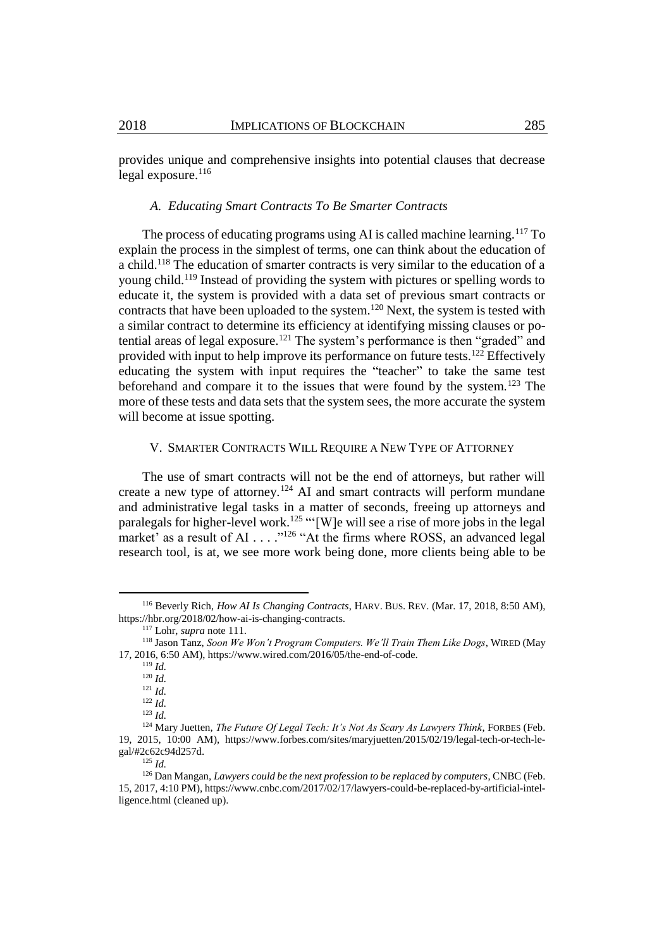provides unique and comprehensive insights into potential clauses that decrease legal exposure.<sup>116</sup>

#### *A. Educating Smart Contracts To Be Smarter Contracts*

The process of educating programs using AI is called machine learning.<sup>117</sup> To explain the process in the simplest of terms, one can think about the education of a child.<sup>118</sup> The education of smarter contracts is very similar to the education of a young child.<sup>119</sup> Instead of providing the system with pictures or spelling words to educate it, the system is provided with a data set of previous smart contracts or contracts that have been uploaded to the system.<sup>120</sup> Next, the system is tested with a similar contract to determine its efficiency at identifying missing clauses or potential areas of legal exposure.<sup>121</sup> The system's performance is then "graded" and provided with input to help improve its performance on future tests.<sup>122</sup> Effectively educating the system with input requires the "teacher" to take the same test beforehand and compare it to the issues that were found by the system.<sup>123</sup> The more of these tests and data sets that the system sees, the more accurate the system will become at issue spotting.

#### <span id="page-13-0"></span>V. SMARTER CONTRACTS WILL REQUIRE A NEW TYPE OF ATTORNEY

The use of smart contracts will not be the end of attorneys, but rather will create a new type of attorney.<sup>124</sup> AI and smart contracts will perform mundane and administrative legal tasks in a matter of seconds, freeing up attorneys and paralegals for higher-level work.<sup>125</sup> "'[W]e will see a rise of more jobs in the legal market' as a result of AI . . . . "<sup>126</sup> "At the firms where ROSS, an advanced legal research tool, is at, we see more work being done, more clients being able to be

l

<sup>122</sup> *Id.*

<sup>125</sup> *Id.*

<sup>116</sup> Beverly Rich, *How AI Is Changing Contracts*, HARV. BUS. REV. (Mar. 17, 2018, 8:50 AM), https://hbr.org/2018/02/how-ai-is-changing-contracts.

<sup>117</sup> Lohr, *supra* not[e 111.](#page-12-0)

<sup>118</sup> Jason Tanz, *Soon We Won't Program Computers. We'll Train Them Like Dogs*, WIRED (May 17, 2016, 6:50 AM), https://www.wired.com/2016/05/the-end-of-code.

<sup>119</sup> *Id.*

<sup>120</sup> *Id.* <sup>121</sup> *Id.*

<sup>123</sup> *Id.*

<sup>124</sup> Mary Juetten, *The Future Of Legal Tech: It's Not As Scary As Lawyers Think*, FORBES (Feb. 19, 2015, 10:00 AM), https://www.forbes.com/sites/maryjuetten/2015/02/19/legal-tech-or-tech-legal/#2c62c94d257d.

<sup>&</sup>lt;sup>126</sup> Dan Mangan, *Lawyers could be the next profession to be replaced by computers*, CNBC (Feb. 15, 2017, 4:10 PM), https://www.cnbc.com/2017/02/17/lawyers-could-be-replaced-by-artificial-intelligence.html (cleaned up).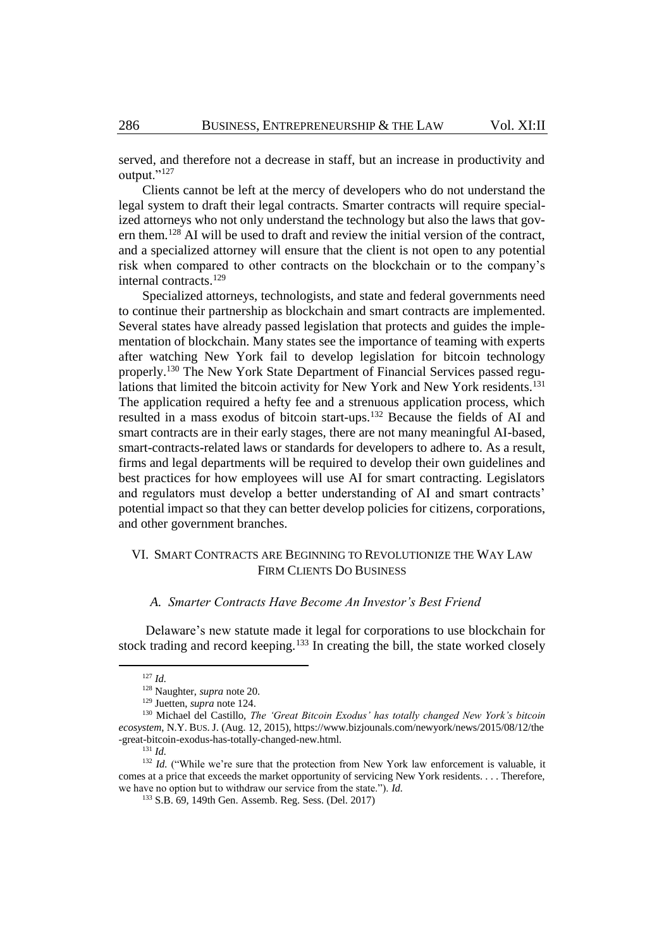served, and therefore not a decrease in staff, but an increase in productivity and output."<sup>127</sup>

Clients cannot be left at the mercy of developers who do not understand the legal system to draft their legal contracts. Smarter contracts will require specialized attorneys who not only understand the technology but also the laws that govern them.<sup>128</sup> AI will be used to draft and review the initial version of the contract, and a specialized attorney will ensure that the client is not open to any potential risk when compared to other contracts on the blockchain or to the company's internal contracts. 129

Specialized attorneys, technologists, and state and federal governments need to continue their partnership as blockchain and smart contracts are implemented. Several states have already passed legislation that protects and guides the implementation of blockchain. Many states see the importance of teaming with experts after watching New York fail to develop legislation for bitcoin technology properly. <sup>130</sup> The New York State Department of Financial Services passed regulations that limited the bitcoin activity for New York and New York residents. 131 The application required a hefty fee and a strenuous application process, which resulted in a mass exodus of bitcoin start-ups. <sup>132</sup> Because the fields of AI and smart contracts are in their early stages, there are not many meaningful AI-based, smart-contracts-related laws or standards for developers to adhere to. As a result, firms and legal departments will be required to develop their own guidelines and best practices for how employees will use AI for smart contracting. Legislators and regulators must develop a better understanding of AI and smart contracts' potential impact so that they can better develop policies for citizens, corporations, and other government branches.

# VI. SMART CONTRACTS ARE BEGINNING TO REVOLUTIONIZE THE WAY LAW FIRM CLIENTS DO BUSINESS

#### *A. Smarter Contracts Have Become An Investor's Best Friend*

Delaware's new statute made it legal for corporations to use blockchain for stock trading and record keeping.<sup>133</sup> In creating the bill, the state worked closely

<sup>127</sup> *Id.* 

<sup>128</sup> Naughter, *supra* not[e 20.](#page-3-0)

<sup>129</sup> Juetten, *supra* not[e 124.](#page-13-0)

<sup>130</sup> Michael del Castillo, *The 'Great Bitcoin Exodus' has totally changed New York's bitcoin ecosystem*, N.Y. BUS. J. (Aug. 12, 2015), https://www.bizjounals.com/newyork/news/2015/08/12/the -great-bitcoin-exodus-has-totally-changed-new.html.

<sup>131</sup> *Id.*

<sup>&</sup>lt;sup>132</sup> *Id.* ("While we're sure that the protection from New York law enforcement is valuable, it comes at a price that exceeds the market opportunity of servicing New York residents. . . . Therefore, we have no option but to withdraw our service from the state."). *Id.* 

<sup>133</sup> S.B. 69, 149th Gen. Assemb. Reg. Sess. (Del. 2017)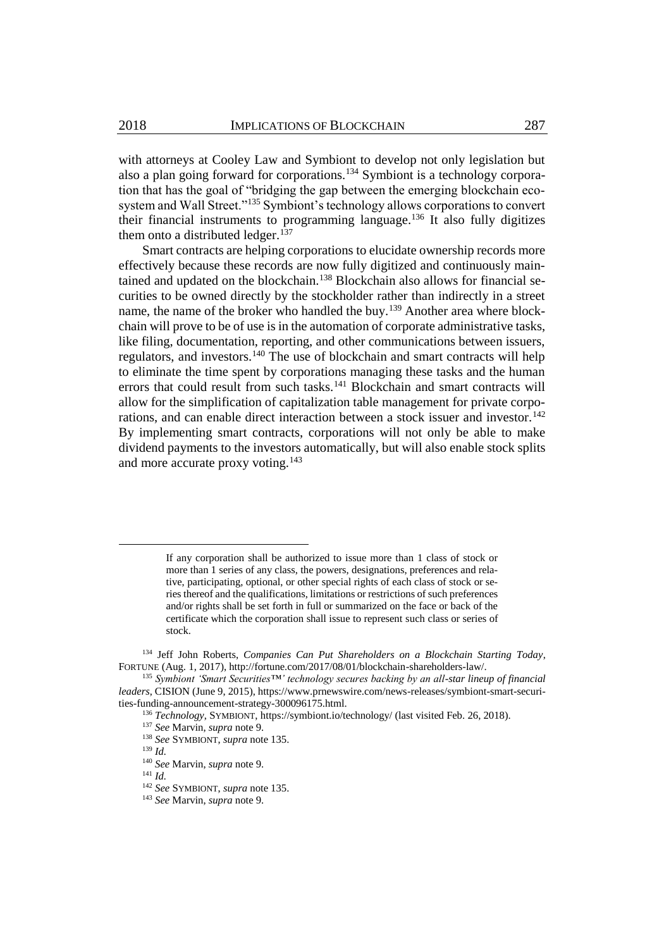<span id="page-15-0"></span>with attorneys at Cooley Law and Symbiont to develop not only legislation but also a plan going forward for corporations.<sup>134</sup> Symbiont is a technology corporation that has the goal of "bridging the gap between the emerging blockchain ecosystem and Wall Street."<sup>135</sup> Symbiont's technology allows corporations to convert their financial instruments to programming language.<sup>136</sup> It also fully digitizes them onto a distributed ledger.<sup>137</sup>

Smart contracts are helping corporations to elucidate ownership records more effectively because these records are now fully digitized and continuously maintained and updated on the blockchain.<sup>138</sup> Blockchain also allows for financial securities to be owned directly by the stockholder rather than indirectly in a street name, the name of the broker who handled the buy.<sup>139</sup> Another area where blockchain will prove to be of use is in the automation of corporate administrative tasks, like filing, documentation, reporting, and other communications between issuers, regulators, and investors.<sup>140</sup> The use of blockchain and smart contracts will help to eliminate the time spent by corporations managing these tasks and the human errors that could result from such tasks.<sup>141</sup> Blockchain and smart contracts will allow for the simplification of capitalization table management for private corporations, and can enable direct interaction between a stock issuer and investor.<sup>142</sup> By implementing smart contracts, corporations will not only be able to make dividend payments to the investors automatically, but will also enable stock splits and more accurate proxy voting.<sup>143</sup>

If any corporation shall be authorized to issue more than 1 class of stock or more than 1 series of any class, the powers, designations, preferences and relative, participating, optional, or other special rights of each class of stock or series thereof and the qualifications, limitations or restrictions of such preferences and/or rights shall be set forth in full or summarized on the face or back of the certificate which the corporation shall issue to represent such class or series of stock.

<sup>134</sup> Jeff John Roberts, *Companies Can Put Shareholders on a Blockchain Starting Today*, FORTUNE (Aug. 1, 2017), http://fortune.com/2017/08/01/blockchain-shareholders-law/.

<sup>135</sup> *Symbiont 'Smart Securities™' technology secures backing by an all-star lineup of financial leaders*, CISION (June 9, 2015), https://www.prnewswire.com/news-releases/symbiont-smart-securities-funding-announcement-strategy-300096175.html.

<sup>136</sup> *Technology*, SYMBIONT, https://symbiont.io/technology/ (last visited Feb. 26, 2018).

<sup>137</sup> *See* Marvin, *supra* not[e 9.](#page-2-0)

<sup>138</sup> *See* SYMBIONT, *supra* not[e 135.](#page-15-0) <sup>139</sup> *Id.*

<sup>140</sup> *See* Marvin, *supra* not[e 9.](#page-2-0)

<sup>141</sup> *Id.*

<sup>142</sup> *See* SYMBIONT, *supra* not[e 135.](#page-15-0)

<sup>143</sup> *See* Marvin, *supra* not[e 9.](#page-2-0)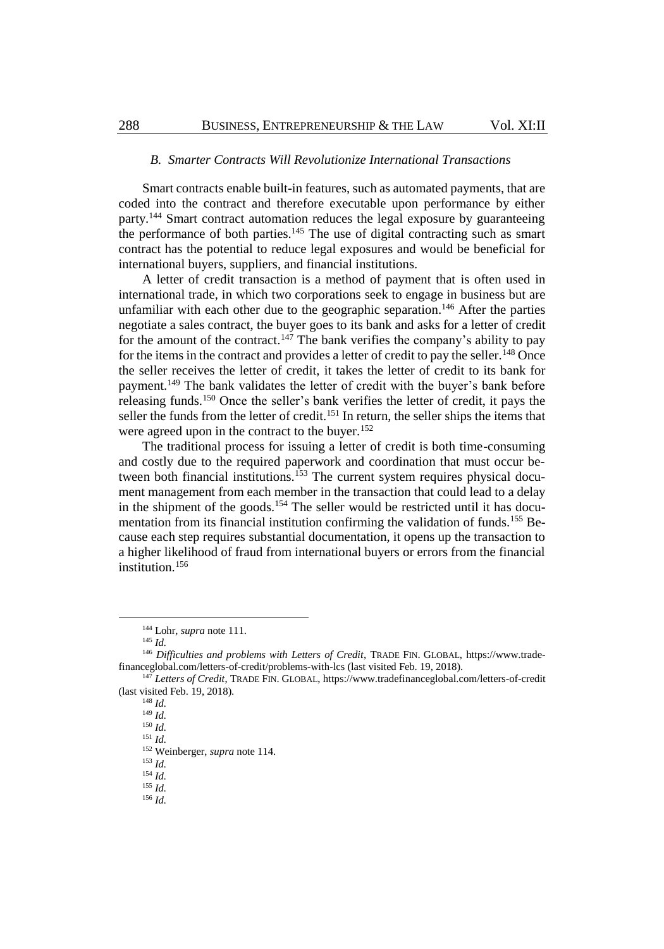#### *B. Smarter Contracts Will Revolutionize International Transactions*

Smart contracts enable built-in features, such as automated payments, that are coded into the contract and therefore executable upon performance by either party.<sup>144</sup> Smart contract automation reduces the legal exposure by guaranteeing the performance of both parties.<sup>145</sup> The use of digital contracting such as smart contract has the potential to reduce legal exposures and would be beneficial for international buyers, suppliers, and financial institutions.

<span id="page-16-0"></span>A letter of credit transaction is a method of payment that is often used in international trade, in which two corporations seek to engage in business but are unfamiliar with each other due to the geographic separation.<sup>146</sup> After the parties negotiate a sales contract, the buyer goes to its bank and asks for a letter of credit for the amount of the contract.<sup>147</sup> The bank verifies the company's ability to pay for the items in the contract and provides a letter of credit to pay the seller.<sup>148</sup> Once the seller receives the letter of credit, it takes the letter of credit to its bank for payment.<sup>149</sup> The bank validates the letter of credit with the buyer's bank before releasing funds.<sup>150</sup> Once the seller's bank verifies the letter of credit, it pays the seller the funds from the letter of credit.<sup>151</sup> In return, the seller ships the items that were agreed upon in the contract to the buyer.<sup>152</sup>

The traditional process for issuing a letter of credit is both time-consuming and costly due to the required paperwork and coordination that must occur between both financial institutions.<sup>153</sup> The current system requires physical document management from each member in the transaction that could lead to a delay in the shipment of the goods.<sup>154</sup> The seller would be restricted until it has documentation from its financial institution confirming the validation of funds.<sup>155</sup> Because each step requires substantial documentation, it opens up the transaction to a higher likelihood of fraud from international buyers or errors from the financial institution.<sup>156</sup>

l

<sup>148</sup> *Id.*  $^{149}$  *Id.* 

 $150$  *Id.* 

<sup>151</sup> *Id.*

<sup>152</sup> Weinberger, *supra* not[e 114.](#page-12-2)

<sup>153</sup> *Id.*

<sup>154</sup> *Id.*

<sup>155</sup> *Id.*

<sup>156</sup> *Id.*

<sup>144</sup> Lohr, *supra* not[e 111.](#page-12-0)

<sup>145</sup> *Id.*

<sup>&</sup>lt;sup>146</sup> Difficulties and problems with Letters of Credit, TRADE FIN. GLOBAL, https://www.tradefinanceglobal.com/letters-of-credit/problems-with-lcs (last visited Feb. 19, 2018).

<sup>147</sup> *Letters of Credit*, TRADE FIN. GLOBAL, https://www.tradefinanceglobal.com/letters-of-credit (last visited Feb. 19, 2018).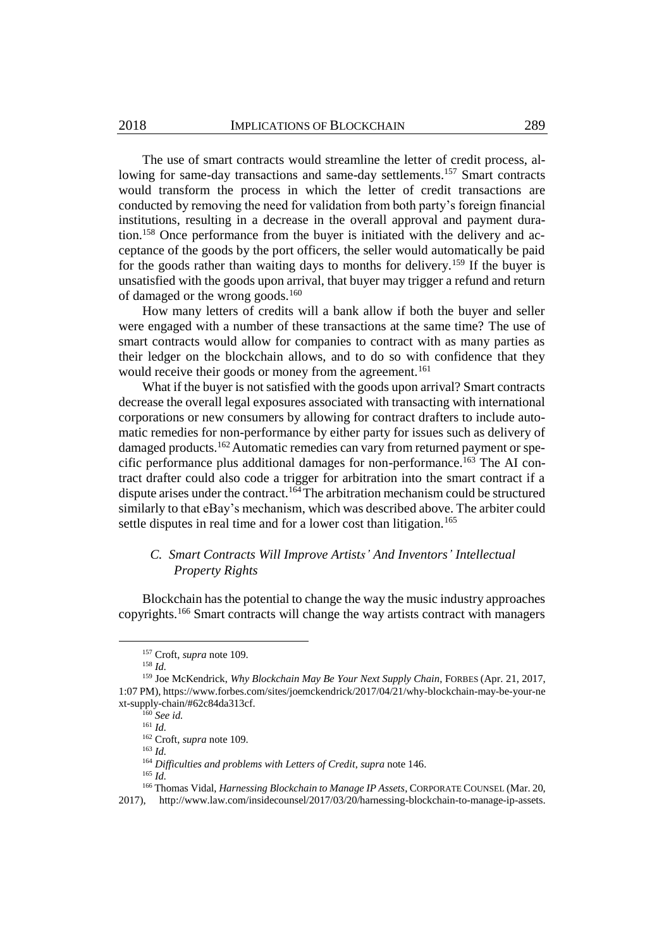The use of smart contracts would streamline the letter of credit process, allowing for same-day transactions and same-day settlements.<sup>157</sup> Smart contracts would transform the process in which the letter of credit transactions are conducted by removing the need for validation from both party's foreign financial institutions, resulting in a decrease in the overall approval and payment duration. <sup>158</sup> Once performance from the buyer is initiated with the delivery and acceptance of the goods by the port officers, the seller would automatically be paid for the goods rather than waiting days to months for delivery.<sup>159</sup> If the buyer is unsatisfied with the goods upon arrival, that buyer may trigger a refund and return of damaged or the wrong goods.<sup>160</sup>

<span id="page-17-0"></span>How many letters of credits will a bank allow if both the buyer and seller were engaged with a number of these transactions at the same time? The use of smart contracts would allow for companies to contract with as many parties as their ledger on the blockchain allows, and to do so with confidence that they would receive their goods or money from the agreement.<sup>161</sup>

What if the buyer is not satisfied with the goods upon arrival? Smart contracts decrease the overall legal exposures associated with transacting with international corporations or new consumers by allowing for contract drafters to include automatic remedies for non-performance by either party for issues such as delivery of damaged products.<sup>162</sup> Automatic remedies can vary from returned payment or specific performance plus additional damages for non-performance.<sup>163</sup> The AI contract drafter could also code a trigger for arbitration into the smart contract if a dispute arises under the contract.<sup>164</sup>The arbitration mechanism could be structured similarly to that eBay's mechanism, which was described above. The arbiter could settle disputes in real time and for a lower cost than litigation.<sup>165</sup>

# *C. Smart Contracts Will Improve Artists' And Inventors' Intellectual Property Rights*

Blockchain has the potential to change the way the music industry approaches copyrights.<sup>166</sup> Smart contracts will change the way artists contract with managers

l

<span id="page-17-1"></span><sup>157</sup> Croft, *supra* not[e 109.](#page-12-3) 

<sup>158</sup> *Id.*

<sup>159</sup> Joe McKendrick, *Why Blockchain May Be Your Next Supply Chain*, FORBES (Apr. 21, 2017, 1:07 PM), https://www.forbes.com/sites/joemckendrick/2017/04/21/why-blockchain-may-be-your-ne xt-supply-chain/#62c84da313cf.

<sup>160</sup> *See id.*

<sup>161</sup> *Id.*

<sup>162</sup> Croft, *supra* not[e 109.](#page-12-3) <sup>163</sup> *Id.*

<sup>164</sup> *Difficulties and problems with Letters of Credit*, *supra* not[e 146.](#page-16-0)

<sup>165</sup> *Id.*

<sup>166</sup> Thomas Vidal, *Harnessing Blockchain to Manage IP Assets*, CORPORATE COUNSEL (Mar. 20,

<sup>2017),</sup> http://www.law.com/insidecounsel/2017/03/20/harnessing-blockchain-to-manage-ip-assets.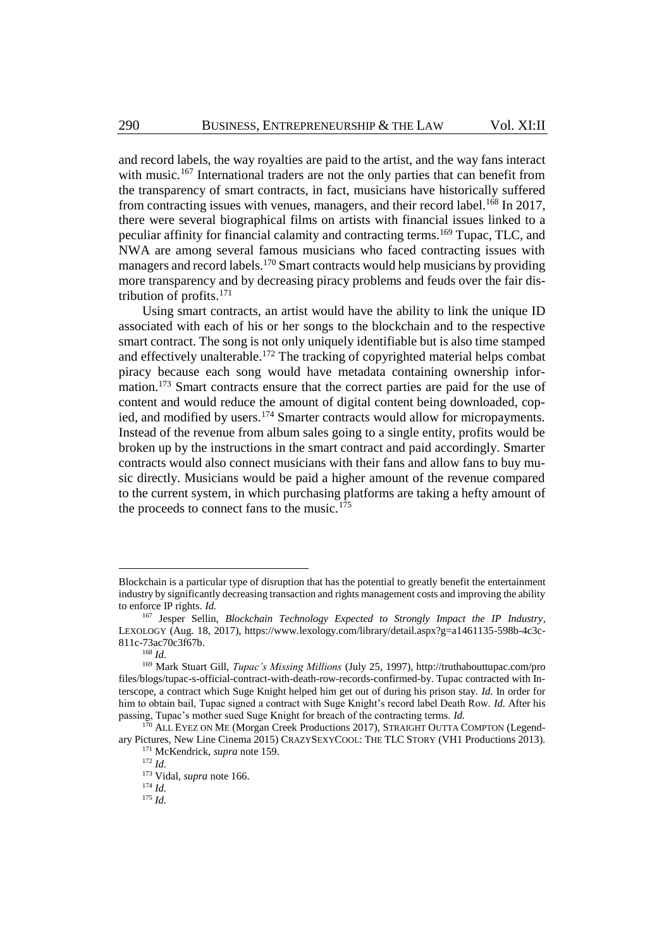and record labels, the way royalties are paid to the artist, and the way fans interact with music.<sup>167</sup> International traders are not the only parties that can benefit from the transparency of smart contracts, in fact, musicians have historically suffered from contracting issues with venues, managers, and their record label.<sup>168</sup> In 2017, there were several biographical films on artists with financial issues linked to a peculiar affinity for financial calamity and contracting terms.<sup>169</sup> Tupac, TLC, and NWA are among several famous musicians who faced contracting issues with managers and record labels.<sup>170</sup> Smart contracts would help musicians by providing more transparency and by decreasing piracy problems and feuds over the fair distribution of profits. 171

Using smart contracts, an artist would have the ability to link the unique ID associated with each of his or her songs to the blockchain and to the respective smart contract. The song is not only uniquely identifiable but is also time stamped and effectively unalterable.<sup>172</sup> The tracking of copyrighted material helps combat piracy because each song would have metadata containing ownership information.<sup>173</sup> Smart contracts ensure that the correct parties are paid for the use of content and would reduce the amount of digital content being downloaded, copied, and modified by users.<sup>174</sup> Smarter contracts would allow for micropayments. Instead of the revenue from album sales going to a single entity, profits would be broken up by the instructions in the smart contract and paid accordingly. Smarter contracts would also connect musicians with their fans and allow fans to buy music directly. Musicians would be paid a higher amount of the revenue compared to the current system, in which purchasing platforms are taking a hefty amount of the proceeds to connect fans to the music.<sup>175</sup>

Blockchain is a particular type of disruption that has the potential to greatly benefit the entertainment industry by significantly decreasing transaction and rights management costs and improving the ability to enforce IP rights. *Id.*

<sup>167</sup> Jesper Sellin, *Blockchain Technology Expected to Strongly Impact the IP Industry*, LEXOLOGY (Aug. 18, 2017), https://www.lexology.com/library/detail.aspx?g=a1461135-598b-4c3c-811c-73ac70c3f67b.

<sup>168</sup> *Id.*

<sup>169</sup> Mark Stuart Gill, *Tupac's Missing Millions* (July 25, 1997), http://truthabouttupac.com/pro files/blogs/tupac-s-official-contract-with-death-row-records-confirmed-by. Tupac contracted with Interscope, a contract which Suge Knight helped him get out of during his prison stay. *Id.* In order for him to obtain bail, Tupac signed a contract with Suge Knight's record label Death Row. *Id.* After his passing, Tupac's mother sued Suge Knight for breach of the contracting terms. *Id.*

<sup>&</sup>lt;sup>170</sup> ALL EYEZ ON ME (Morgan Creek Productions 2017), STRAIGHT OUTTA COMPTON (Legendary Pictures, New Line Cinema 2015) CRAZYSEXYCOOL: THE TLC STORY (VH1 Productions 2013).

<sup>171</sup> McKendrick, *supra* not[e 159.](#page-17-0)

<sup>172</sup> *Id.*

<sup>173</sup> Vidal, *supra* not[e 166.](#page-17-1)

<sup>174</sup> *Id.*

<sup>175</sup> *Id.*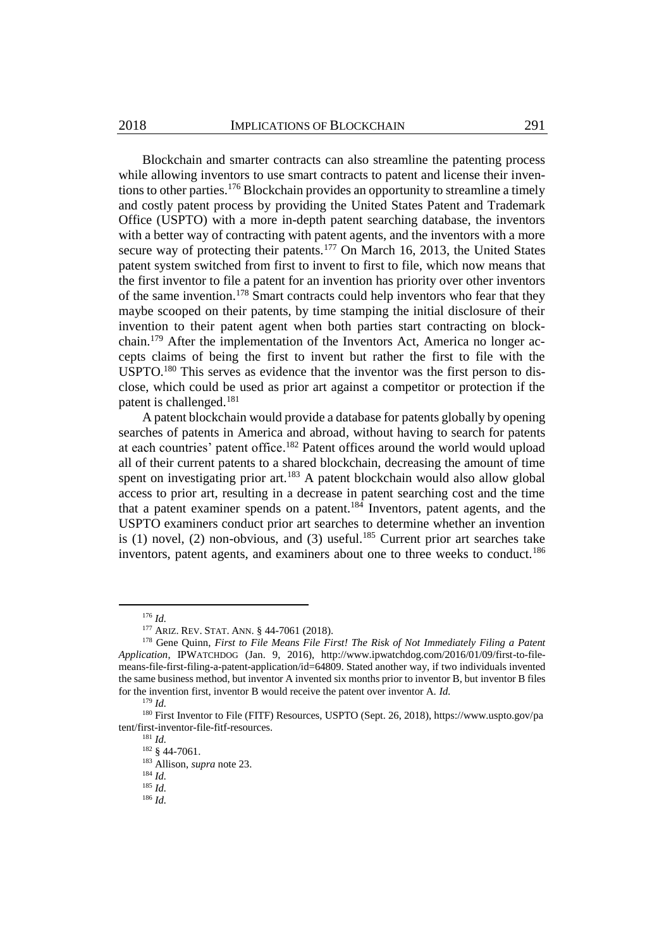Blockchain and smarter contracts can also streamline the patenting process while allowing inventors to use smart contracts to patent and license their inventions to other parties.<sup>176</sup> Blockchain provides an opportunity to streamline a timely and costly patent process by providing the United States Patent and Trademark Office (USPTO) with a more in-depth patent searching database, the inventors with a better way of contracting with patent agents, and the inventors with a more secure way of protecting their patents.<sup>177</sup> On March 16, 2013, the United States patent system switched from first to invent to first to file, which now means that the first inventor to file a patent for an invention has priority over other inventors of the same invention. <sup>178</sup> Smart contracts could help inventors who fear that they maybe scooped on their patents, by time stamping the initial disclosure of their invention to their patent agent when both parties start contracting on blockchain.<sup>179</sup> After the implementation of the Inventors Act, America no longer accepts claims of being the first to invent but rather the first to file with the USPTO.<sup>180</sup> This serves as evidence that the inventor was the first person to disclose, which could be used as prior art against a competitor or protection if the patent is challenged.<sup>181</sup>

<span id="page-19-0"></span>A patent blockchain would provide a database for patents globally by opening searches of patents in America and abroad, without having to search for patents at each countries' patent office.<sup>182</sup> Patent offices around the world would upload all of their current patents to a shared blockchain, decreasing the amount of time spent on investigating prior art.<sup>183</sup> A patent blockchain would also allow global access to prior art, resulting in a decrease in patent searching cost and the time that a patent examiner spends on a patent.<sup>184</sup> Inventors, patent agents, and the USPTO examiners conduct prior art searches to determine whether an invention is (1) novel, (2) non-obvious, and (3) useful.<sup>185</sup> Current prior art searches take inventors, patent agents, and examiners about one to three weeks to conduct.<sup>186</sup>

<sup>176</sup> *Id.*

<sup>177</sup> ARIZ. REV. STAT. ANN. § 44-7061 (2018).

<sup>&</sup>lt;sup>178</sup> Gene Quinn, *First to File Means File First! The Risk of Not Immediately Filing a Patent Application*, IPWATCHDOG (Jan. 9, 2016), http://www.ipwatchdog.com/2016/01/09/first-to-filemeans-file-first-filing-a-patent-application/id=64809. Stated another way, if two individuals invented the same business method, but inventor A invented six months prior to inventor B, but inventor B files for the invention first, inventor B would receive the patent over inventor A. *Id.*

<sup>179</sup> *Id.*

<sup>180</sup> First Inventor to File (FITF) Resources, USPTO (Sept. 26, 2018), https://www.uspto.gov/pa tent/first-inventor-file-fitf-resources.

<sup>181</sup> *Id.*

<sup>182</sup> § 44-7061.

<sup>183</sup> Allison, *supra* not[e 23.](#page-4-0)

<sup>184</sup> *Id.*

<sup>185</sup> *Id.*

<sup>186</sup> *Id.*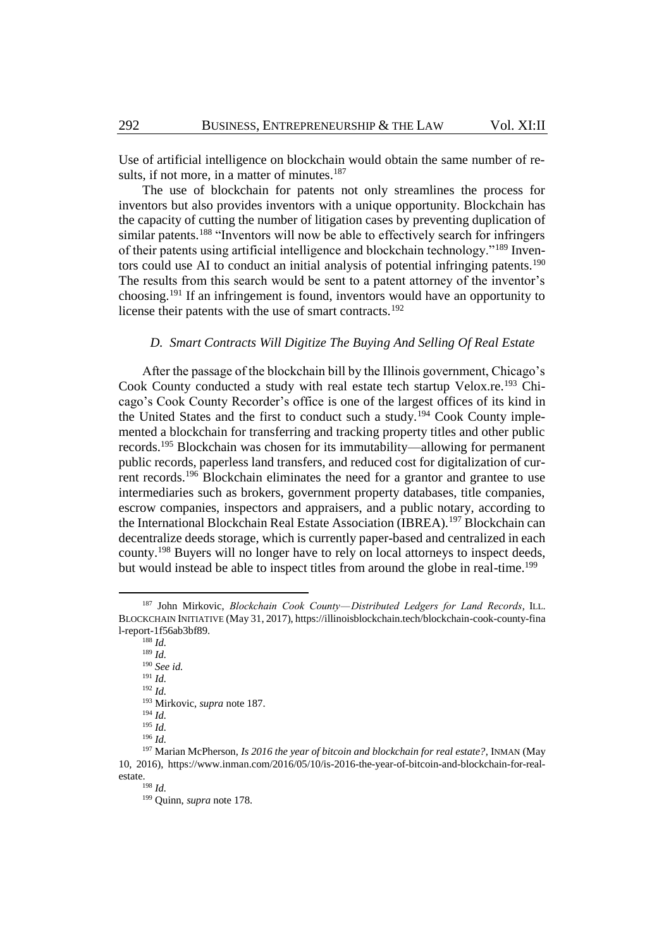<span id="page-20-0"></span>Use of artificial intelligence on blockchain would obtain the same number of results, if not more, in a matter of minutes. $187$ 

The use of blockchain for patents not only streamlines the process for inventors but also provides inventors with a unique opportunity. Blockchain has the capacity of cutting the number of litigation cases by preventing duplication of similar patents.<sup>188</sup> "Inventors will now be able to effectively search for infringers of their patents using artificial intelligence and blockchain technology."<sup>189</sup> Inventors could use AI to conduct an initial analysis of potential infringing patents.<sup>190</sup> The results from this search would be sent to a patent attorney of the inventor's choosing.<sup>191</sup> If an infringement is found, inventors would have an opportunity to license their patents with the use of smart contracts.<sup>192</sup>

## *D. Smart Contracts Will Digitize The Buying And Selling Of Real Estate*

After the passage of the blockchain bill by the Illinois government, Chicago's Cook County conducted a study with real estate tech startup Velox.re.<sup>193</sup> Chicago's Cook County Recorder's office is one of the largest offices of its kind in the United States and the first to conduct such a study.<sup>194</sup> Cook County implemented a blockchain for transferring and tracking property titles and other public records.<sup>195</sup> Blockchain was chosen for its immutability—allowing for permanent public records, paperless land transfers, and reduced cost for digitalization of current records.<sup>196</sup> Blockchain eliminates the need for a grantor and grantee to use intermediaries such as brokers, government property databases, title companies, escrow companies, inspectors and appraisers, and a public notary, according to the International Blockchain Real Estate Association (IBREA).<sup>197</sup> Blockchain can decentralize deeds storage, which is currently paper-based and centralized in each county.<sup>198</sup> Buyers will no longer have to rely on local attorneys to inspect deeds, but would instead be able to inspect titles from around the globe in real-time.<sup>199</sup>

<sup>188</sup> *Id.* <sup>189</sup> *Id.* <sup>190</sup> *See id.* <sup>191</sup> *Id.* <sup>192</sup> *Id.* <sup>193</sup> Mirkovic, *supra* not[e 187.](#page-20-0) <sup>194</sup> *Id.* <sup>195</sup> *Id.* <sup>196</sup> *Id.* <sup>197</sup> Marian McPherson, *Is 2016 the year of bitcoin and blockchain for real estate?*, INMAN (May 10, 2016), https://www.inman.com/2016/05/10/is-2016-the-year-of-bitcoin-and-blockchain-for-real-

estate.

l

<sup>199</sup> Quinn, *supra* not[e 178.](#page-19-0)

<sup>&</sup>lt;sup>187</sup> John Mirkovic, *Blockchain Cook County*—*Distributed Ledgers for Land Records*, ILL. BLOCKCHAIN INITIATIVE (May 31, 2017), https://illinoisblockchain.tech/blockchain-cook-county-fina l-report-1f56ab3bf89.

<sup>198</sup> *Id.*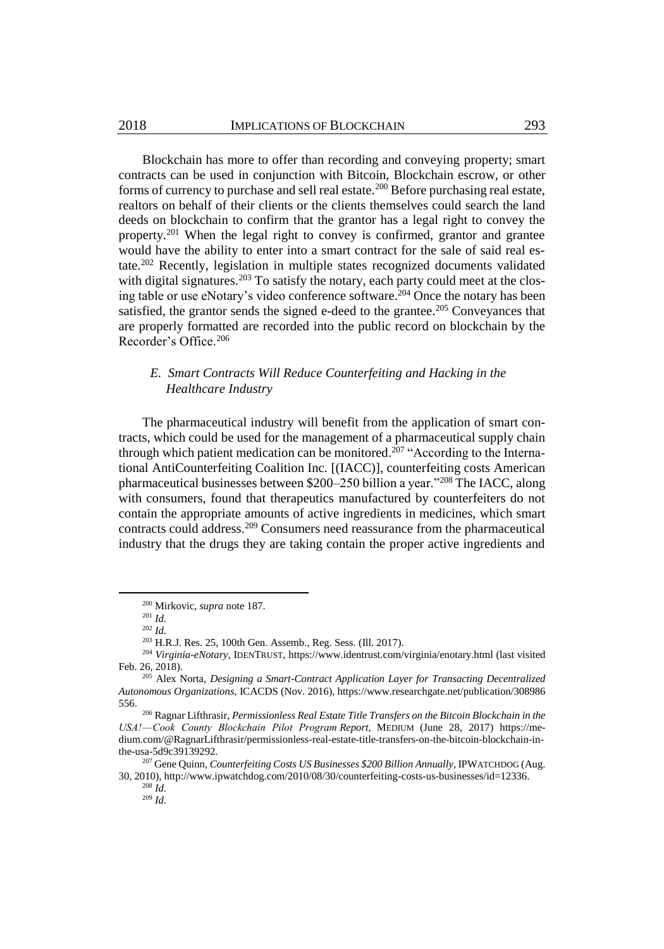Blockchain has more to offer than recording and conveying property; smart contracts can be used in conjunction with Bitcoin, Blockchain escrow, or other forms of currency to purchase and sell real estate.<sup>200</sup> Before purchasing real estate, realtors on behalf of their clients or the clients themselves could search the land deeds on blockchain to confirm that the grantor has a legal right to convey the property.<sup>201</sup> When the legal right to convey is confirmed, grantor and grantee would have the ability to enter into a smart contract for the sale of said real estate.<sup>202</sup> Recently, legislation in multiple states recognized documents validated with digital signatures.<sup>203</sup> To satisfy the notary, each party could meet at the closing table or use eNotary's video conference software.<sup>204</sup> Once the notary has been satisfied, the grantor sends the signed e-deed to the grantee.<sup>205</sup> Conveyances that are properly formatted are recorded into the public record on blockchain by the Recorder's Office.<sup>206</sup>

### *E. Smart Contracts Will Reduce Counterfeiting and Hacking in the Healthcare Industry*

The pharmaceutical industry will benefit from the application of smart contracts, which could be used for the management of a pharmaceutical supply chain through which patient medication can be monitored.<sup>207</sup> "According to the International AntiCounterfeiting Coalition Inc. [(IACC)], counterfeiting costs American pharmaceutical businesses between \$200–250 billion a year."<sup>208</sup> The IACC, along with consumers, found that therapeutics manufactured by counterfeiters do not contain the appropriate amounts of active ingredients in medicines, which smart contracts could address.<sup>209</sup> Consumers need reassurance from the pharmaceutical industry that the drugs they are taking contain the proper active ingredients and

l

<sup>200</sup> Mirkovic, *supra* note [187.](#page-20-0)

<sup>201</sup> *Id.*

<sup>202</sup> *Id.*

<sup>203</sup> H.R.J. Res. 25, 100th Gen. Assemb., Reg. Sess. (Ill. 2017).

<sup>204</sup> *Virginia-eNotary*, IDENTRUST, https://www.identrust.com/virginia/enotary.html (last visited Feb. 26, 2018).

<sup>205</sup> Alex Norta, *Designing a Smart-Contract Application Layer for Transacting Decentralized Autonomous Organizations*, ICACDS (Nov. 2016), https://www.researchgate.net/publication/308986 556.

<sup>206</sup> Ragnar Lifthrasir, *Permissionless Real Estate Title Transfers on the Bitcoin Blockchain in the USA! — Cook County Blockchain Pilot Program Report*, MEDIUM (June 28, 2017) https://medium.com/@RagnarLifthrasir/permissionless-real-estate-title-transfers-on-the-bitcoin-blockchain-inthe-usa-5d9c39139292.

<sup>207</sup> Gene Quinn, *Counterfeiting Costs US Businesses \$200 Billion Annually*, IPWATCHDOG (Aug. 30, 2010), http://www.ipwatchdog.com/2010/08/30/counterfeiting-costs-us-businesses/id=12336.

<sup>208</sup> *Id.* <sup>209</sup> *Id.*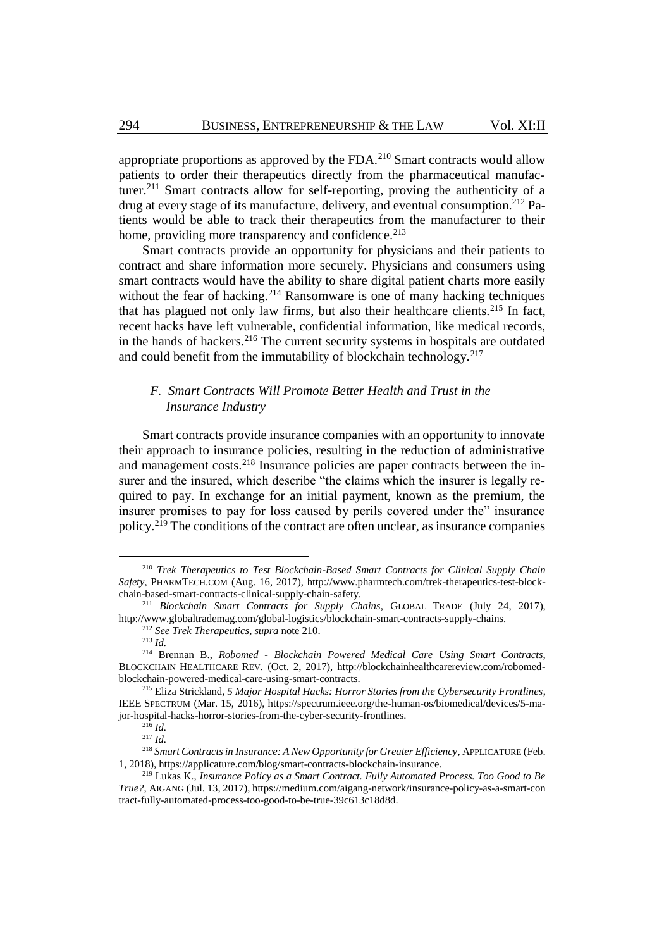<span id="page-22-0"></span>appropriate proportions as approved by the FDA. $^{210}$  Smart contracts would allow patients to order their therapeutics directly from the pharmaceutical manufacturer.<sup>211</sup> Smart contracts allow for self-reporting, proving the authenticity of a drug at every stage of its manufacture, delivery, and eventual consumption.<sup>212</sup> Patients would be able to track their therapeutics from the manufacturer to their home, providing more transparency and confidence.<sup>213</sup>

Smart contracts provide an opportunity for physicians and their patients to contract and share information more securely. Physicians and consumers using smart contracts would have the ability to share digital patient charts more easily without the fear of hacking.<sup>214</sup> Ransomware is one of many hacking techniques that has plagued not only law firms, but also their healthcare clients.<sup>215</sup> In fact, recent hacks have left vulnerable, confidential information, like medical records, in the hands of hackers.<sup>216</sup> The current security systems in hospitals are outdated and could benefit from the immutability of blockchain technology.<sup>217</sup>

# <span id="page-22-1"></span>*F. Smart Contracts Will Promote Better Health and Trust in the Insurance Industry*

Smart contracts provide insurance companies with an opportunity to innovate their approach to insurance policies, resulting in the reduction of administrative and management costs.<sup>218</sup> Insurance policies are paper contracts between the insurer and the insured, which describe "the claims which the insurer is legally required to pay. In exchange for an initial payment, known as the premium, the insurer promises to pay for loss caused by perils covered under the" insurance policy.<sup>219</sup> The conditions of the contract are often unclear, as insurance companies

<sup>210</sup> *Trek Therapeutics to Test Blockchain-Based Smart Contracts for Clinical Supply Chain Safety*, PHARMTECH.COM (Aug. 16, 2017), http://www.pharmtech.com/trek-therapeutics-test-blockchain-based-smart-contracts-clinical-supply-chain-safety.

<sup>211</sup> *Blockchain Smart Contracts for Supply Chains*, GLOBAL TRADE (July 24, 2017), http://www.globaltrademag.com/global-logistics/blockchain-smart-contracts-supply-chains.

<sup>212</sup> *See Trek Therapeutics*, *supra* not[e 210.](#page-22-0)

<sup>213</sup> *Id.*

<sup>214</sup> Brennan B., *Robomed - Blockchain Powered Medical Care Using Smart Contracts*, BLOCKCHAIN HEALTHCARE REV. (Oct. 2, 2017), http://blockchainhealthcarereview.com/robomedblockchain-powered-medical-care-using-smart-contracts.

<sup>215</sup> Eliza Strickland, *5 Major Hospital Hacks: Horror Stories from the Cybersecurity Frontlines*, IEEE SPECTRUM (Mar. 15, 2016), https://spectrum.ieee.org/the-human-os/biomedical/devices/5-major-hospital-hacks-horror-stories-from-the-cyber-security-frontlines.

 $^{216}$  *Id.* 

 $^{217}$  *Id.* 

<sup>218</sup> *Smart Contracts in Insurance: A New Opportunity for Greater Efficiency*, APPLICATURE (Feb. 1, 2018), https://applicature.com/blog/smart-contracts-blockchain-insurance.

<sup>219</sup> Lukas K., *Insurance Policy as a Smart Contract. Fully Automated Process. Too Good to Be True?*, AIGANG (Jul. 13, 2017), https://medium.com/aigang-network/insurance-policy-as-a-smart-con tract-fully-automated-process-too-good-to-be-true-39c613c18d8d.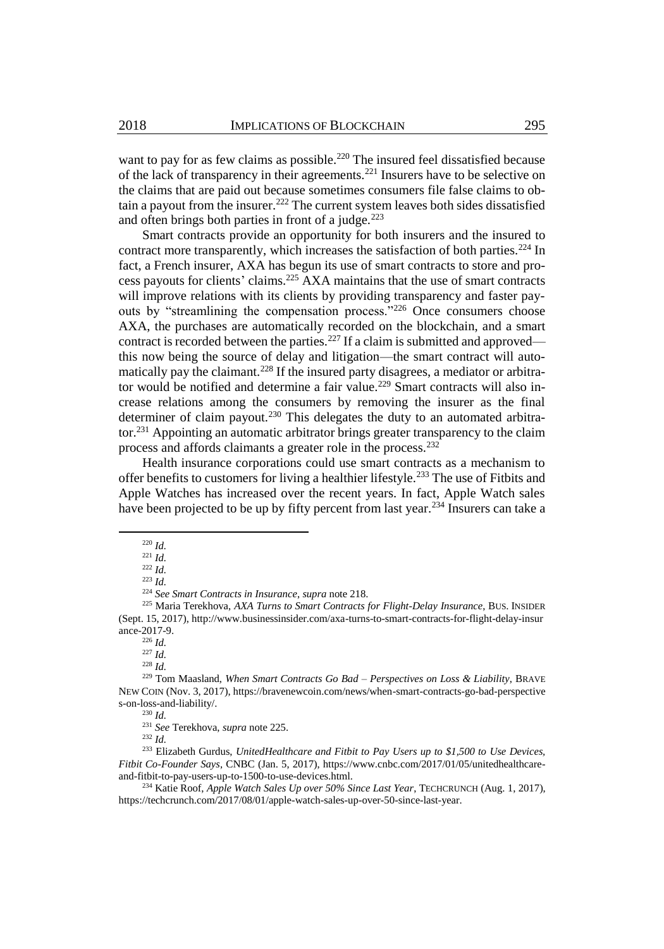want to pay for as few claims as possible.<sup>220</sup> The insured feel dissatisfied because of the lack of transparency in their agreements.<sup>221</sup> Insurers have to be selective on the claims that are paid out because sometimes consumers file false claims to obtain a payout from the insurer.<sup>222</sup> The current system leaves both sides dissatisfied and often brings both parties in front of a judge. $223$ 

<span id="page-23-0"></span>Smart contracts provide an opportunity for both insurers and the insured to contract more transparently, which increases the satisfaction of both parties.<sup>224</sup> In fact, a French insurer, AXA has begun its use of smart contracts to store and process payouts for clients' claims.<sup>225</sup> AXA maintains that the use of smart contracts will improve relations with its clients by providing transparency and faster payouts by "streamlining the compensation process."<sup>226</sup> Once consumers choose AXA, the purchases are automatically recorded on the blockchain, and a smart contract is recorded between the parties.<sup>227</sup> If a claim is submitted and approved this now being the source of delay and litigation—the smart contract will automatically pay the claimant.<sup>228</sup> If the insured party disagrees, a mediator or arbitrator would be notified and determine a fair value.<sup>229</sup> Smart contracts will also increase relations among the consumers by removing the insurer as the final determiner of claim payout.<sup>230</sup> This delegates the duty to an automated arbitrator.<sup>231</sup> Appointing an automatic arbitrator brings greater transparency to the claim process and affords claimants a greater role in the process.<sup>232</sup>

Health insurance corporations could use smart contracts as a mechanism to offer benefits to customers for living a healthier lifestyle.<sup>233</sup> The use of Fitbits and Apple Watches has increased over the recent years. In fact, Apple Watch sales have been projected to be up by fifty percent from last year.<sup>234</sup> Insurers can take a

l

<sup>224</sup> *See Smart Contracts in Insurance*, *supra* not[e 218.](#page-22-1) 

<sup>227</sup> *Id.*

<sup>230</sup> *Id.*

<sup>220</sup> *Id.*

<sup>221</sup> *Id.*

 $^{222}$  *Id.* 

<sup>223</sup> *Id.*

<sup>225</sup> Maria Terekhova, *AXA Turns to Smart Contracts for Flight-Delay Insurance*, BUS. INSIDER (Sept. 15, 2017), http://www.businessinsider.com/axa-turns-to-smart-contracts-for-flight-delay-insur ance-2017-9.

<sup>226</sup> *Id.*

<sup>228</sup> *Id.*

<sup>229</sup> Tom Maasland, *When Smart Contracts Go Bad – Perspectives on Loss & Liability*, BRAVE NEW COIN (Nov. 3, 2017), https://bravenewcoin.com/news/when-smart-contracts-go-bad-perspective s-on-loss-and-liability/.

<sup>231</sup> *See* Terekhova, *supra* not[e 225.](#page-23-0)

<sup>232</sup> *Id.*

<sup>233</sup> Elizabeth Gurdus, *UnitedHealthcare and Fitbit to Pay Users up to \$1,500 to Use Devices, Fitbit Co-Founder Says*, CNBC (Jan. 5, 2017), https://www.cnbc.com/2017/01/05/unitedhealthcareand-fitbit-to-pay-users-up-to-1500-to-use-devices.html.

<sup>234</sup> Katie Roof, *Apple Watch Sales Up over 50% Since Last Year*, TECHCRUNCH (Aug. 1, 2017), https://techcrunch.com/2017/08/01/apple-watch-sales-up-over-50-since-last-year.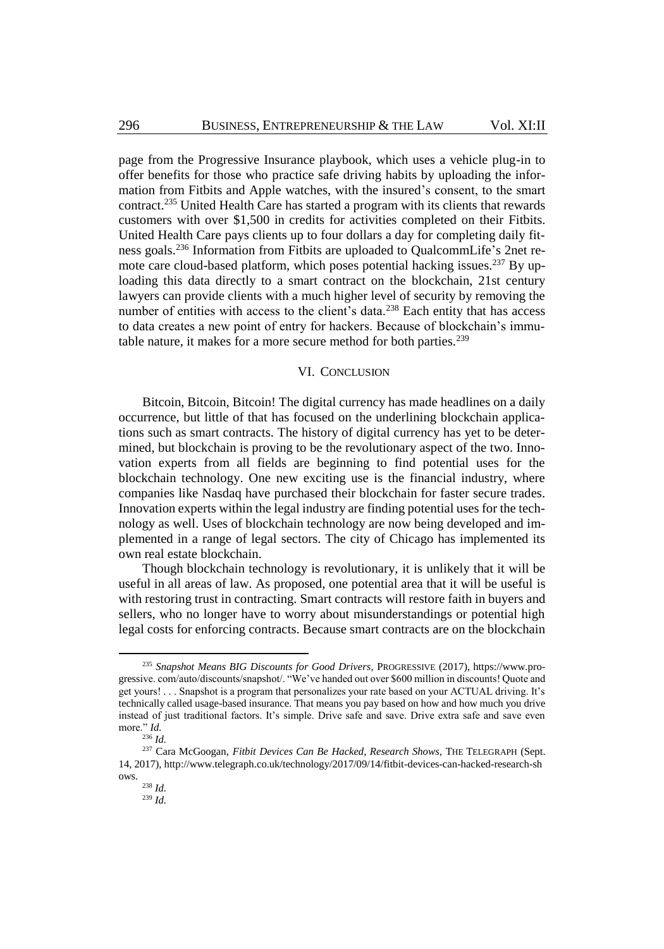page from the Progressive Insurance playbook, which uses a vehicle plug-in to offer benefits for those who practice safe driving habits by uploading the information from Fitbits and Apple watches, with the insured's consent, to the smart contract.<sup>235</sup> United Health Care has started a program with its clients that rewards customers with over \$1,500 in credits for activities completed on their Fitbits. United Health Care pays clients up to four dollars a day for completing daily fitness goals.<sup>236</sup> Information from Fitbits are uploaded to QualcommLife's 2net remote care cloud-based platform, which poses potential hacking issues.<sup>237</sup> By uploading this data directly to a smart contract on the blockchain, 21st century lawyers can provide clients with a much higher level of security by removing the number of entities with access to the client's data.<sup>238</sup> Each entity that has access to data creates a new point of entry for hackers. Because of blockchain's immutable nature, it makes for a more secure method for both parties.<sup>239</sup>

#### VI. CONCLUSION

Bitcoin, Bitcoin, Bitcoin! The digital currency has made headlines on a daily occurrence, but little of that has focused on the underlining blockchain applications such as smart contracts. The history of digital currency has yet to be determined, but blockchain is proving to be the revolutionary aspect of the two. Innovation experts from all fields are beginning to find potential uses for the blockchain technology. One new exciting use is the financial industry, where companies like Nasdaq have purchased their blockchain for faster secure trades. Innovation experts within the legal industry are finding potential uses for the technology as well. Uses of blockchain technology are now being developed and implemented in a range of legal sectors. The city of Chicago has implemented its own real estate blockchain.

Though blockchain technology is revolutionary, it is unlikely that it will be useful in all areas of law. As proposed, one potential area that it will be useful is with restoring trust in contracting. Smart contracts will restore faith in buyers and sellers, who no longer have to worry about misunderstandings or potential high legal costs for enforcing contracts. Because smart contracts are on the blockchain

<sup>235</sup> *Snapshot Means BIG Discounts for Good Drivers*, PROGRESSIVE (2017), https://www.progressive. com/auto/discounts/snapshot/. "We've handed out over \$600 million in discounts! Quote and get yours! . . . Snapshot is a program that personalizes your rate based on your ACTUAL driving. It's technically called usage-based insurance. That means you pay based on how and how much you drive instead of just traditional factors. It's simple. Drive safe and save. Drive extra safe and save even more." *Id.*

<sup>236</sup> *Id.*

<sup>237</sup> Cara McGoogan, *Fitbit Devices Can Be Hacked, Research Shows*, THE TELEGRAPH (Sept. 14, 2017), http://www.telegraph.co.uk/technology/2017/09/14/fitbit-devices-can-hacked-research-sh ows.

<sup>238</sup> *Id.*

<sup>239</sup> *Id.*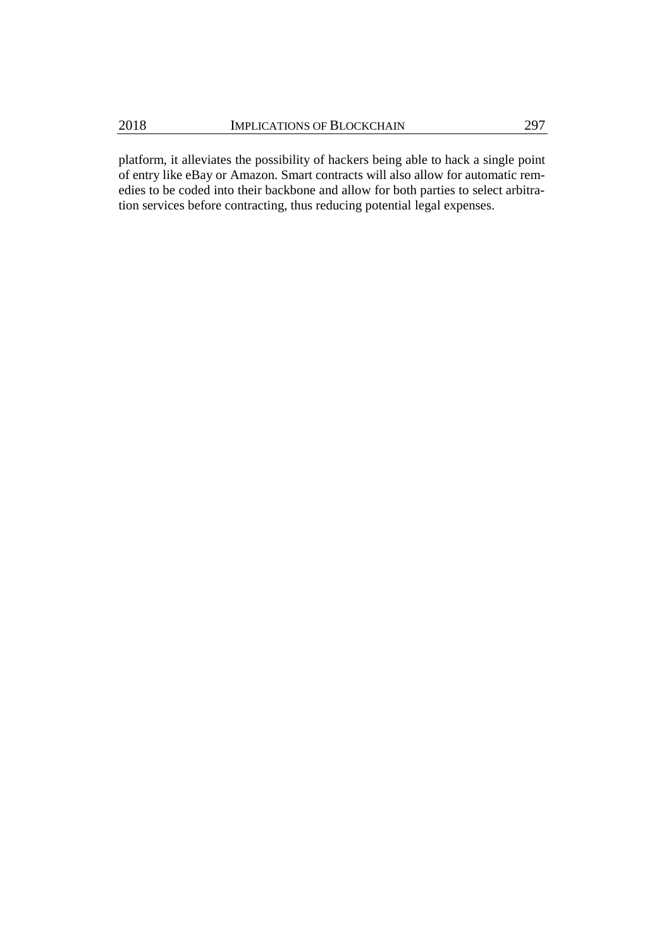platform, it alleviates the possibility of hackers being able to hack a single point of entry like eBay or Amazon. Smart contracts will also allow for automatic remedies to be coded into their backbone and allow for both parties to select arbitration services before contracting, thus reducing potential legal expenses.